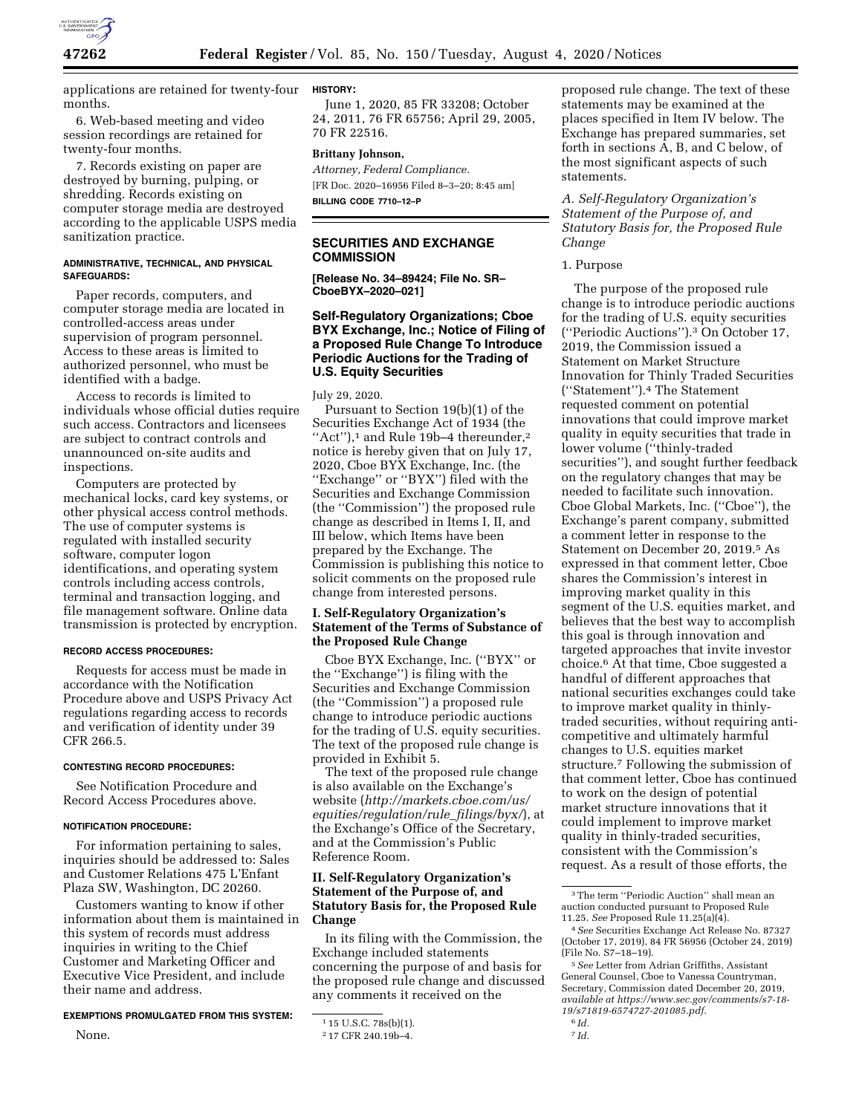

applications are retained for twenty-four months.

6. Web-based meeting and video session recordings are retained for twenty-four months.

7. Records existing on paper are destroyed by burning, pulping, or shredding. Records existing on computer storage media are destroyed according to the applicable USPS media sanitization practice.

#### **ADMINISTRATIVE, TECHNICAL, AND PHYSICAL SAFEGUARDS:**

Paper records, computers, and computer storage media are located in controlled-access areas under supervision of program personnel. Access to these areas is limited to authorized personnel, who must be identified with a badge.

Access to records is limited to individuals whose official duties require such access. Contractors and licensees are subject to contract controls and unannounced on-site audits and inspections.

Computers are protected by mechanical locks, card key systems, or other physical access control methods. The use of computer systems is regulated with installed security software, computer logon identifications, and operating system controls including access controls, terminal and transaction logging, and file management software. Online data transmission is protected by encryption.

### **RECORD ACCESS PROCEDURES:**

Requests for access must be made in accordance with the Notification Procedure above and USPS Privacy Act regulations regarding access to records and verification of identity under 39 CFR 266.5.

#### **CONTESTING RECORD PROCEDURES:**

See Notification Procedure and Record Access Procedures above.

### **NOTIFICATION PROCEDURE:**

None.

For information pertaining to sales, inquiries should be addressed to: Sales and Customer Relations 475 L'Enfant Plaza SW, Washington, DC 20260.

Customers wanting to know if other information about them is maintained in this system of records must address inquiries in writing to the Chief Customer and Marketing Officer and Executive Vice President, and include their name and address.

### **EXEMPTIONS PROMULGATED FROM THIS SYSTEM:**

# **HISTORY:**

June 1, 2020, 85 FR 33208; October 24, 2011, 76 FR 65756; April 29, 2005, 70 FR 22516.

### **Brittany Johnson,**

*Attorney, Federal Compliance.*  [FR Doc. 2020–16956 Filed 8–3–20; 8:45 am] **BILLING CODE 7710–12–P** 

## **SECURITIES AND EXCHANGE COMMISSION**

**[Release No. 34–89424; File No. SR– CboeBYX–2020–021]** 

## **Self-Regulatory Organizations; Cboe BYX Exchange, Inc.; Notice of Filing of a Proposed Rule Change To Introduce Periodic Auctions for the Trading of U.S. Equity Securities**

#### July 29, 2020.

Pursuant to Section 19(b)(1) of the Securities Exchange Act of 1934 (the "Act"),<sup>1</sup> and Rule 19b-4 thereunder,<sup>2</sup> notice is hereby given that on July 17, 2020, Cboe BYX Exchange, Inc. (the ''Exchange'' or ''BYX'') filed with the Securities and Exchange Commission (the ''Commission'') the proposed rule change as described in Items I, II, and III below, which Items have been prepared by the Exchange. The Commission is publishing this notice to solicit comments on the proposed rule change from interested persons.

## **I. Self-Regulatory Organization's Statement of the Terms of Substance of the Proposed Rule Change**

Cboe BYX Exchange, Inc. (''BYX'' or the ''Exchange'') is filing with the Securities and Exchange Commission (the ''Commission'') a proposed rule change to introduce periodic auctions for the trading of U.S. equity securities. The text of the proposed rule change is provided in Exhibit 5.

The text of the proposed rule change is also available on the Exchange's website (*[http://markets.cboe.com/us/](http://markets.cboe.com/us/equities/regulation/rule_filings/byx/) [equities/regulation/rule](http://markets.cboe.com/us/equities/regulation/rule_filings/byx/)*\_*filings/byx/*), at the Exchange's Office of the Secretary, and at the Commission's Public Reference Room.

## **II. Self-Regulatory Organization's Statement of the Purpose of, and Statutory Basis for, the Proposed Rule Change**

In its filing with the Commission, the Exchange included statements concerning the purpose of and basis for the proposed rule change and discussed any comments it received on the

proposed rule change. The text of these statements may be examined at the places specified in Item IV below. The Exchange has prepared summaries, set forth in sections A, B, and C below, of the most significant aspects of such statements.

*A. Self-Regulatory Organization's Statement of the Purpose of, and Statutory Basis for, the Proposed Rule Change* 

### 1. Purpose

The purpose of the proposed rule change is to introduce periodic auctions for the trading of U.S. equity securities (''Periodic Auctions'').3 On October 17, 2019, the Commission issued a Statement on Market Structure Innovation for Thinly Traded Securities (''Statement'').4 The Statement requested comment on potential innovations that could improve market quality in equity securities that trade in lower volume (''thinly-traded securities''), and sought further feedback on the regulatory changes that may be needed to facilitate such innovation. Cboe Global Markets, Inc. (''Cboe''), the Exchange's parent company, submitted a comment letter in response to the Statement on December 20, 2019.5 As expressed in that comment letter, Cboe shares the Commission's interest in improving market quality in this segment of the U.S. equities market, and believes that the best way to accomplish this goal is through innovation and targeted approaches that invite investor choice.6 At that time, Cboe suggested a handful of different approaches that national securities exchanges could take to improve market quality in thinlytraded securities, without requiring anticompetitive and ultimately harmful changes to U.S. equities market structure.7 Following the submission of that comment letter, Cboe has continued to work on the design of potential market structure innovations that it could implement to improve market quality in thinly-traded securities, consistent with the Commission's request. As a result of those efforts, the

7 *Id.* 

<sup>1</sup> 15 U.S.C. 78s(b)(1).

<sup>2</sup> 17 CFR 240.19b–4.

<sup>3</sup>The term ''Periodic Auction'' shall mean an auction conducted pursuant to Proposed Rule 11.25. *See* Proposed Rule 11.25(a)(4).

<sup>4</sup>*See* Securities Exchange Act Release No. 87327 (October 17, 2019), 84 FR 56956 (October 24, 2019) (File No. S7–18–19).

<sup>5</sup>*See* Letter from Adrian Griffiths, Assistant General Counsel, Cboe to Vanessa Countryman, Secretary, Commission dated December 20, 2019, *available at [https://www.sec.gov/comments/s7-18-](https://www.sec.gov/comments/s7-18-19/s71819-6574727-201085.pdf) [19/s71819-6574727-201085.pdf.](https://www.sec.gov/comments/s7-18-19/s71819-6574727-201085.pdf)* 

<sup>6</sup> *Id.*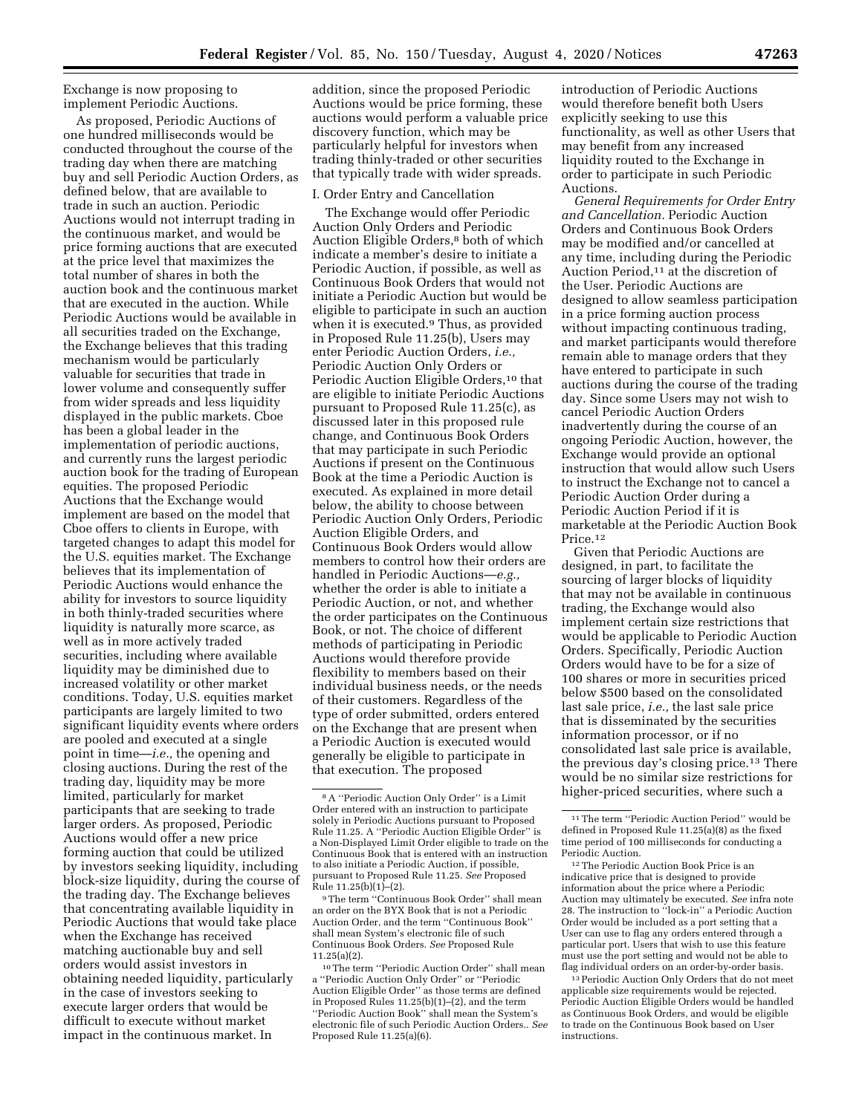Exchange is now proposing to implement Periodic Auctions.

As proposed, Periodic Auctions of one hundred milliseconds would be conducted throughout the course of the trading day when there are matching buy and sell Periodic Auction Orders, as defined below, that are available to trade in such an auction. Periodic Auctions would not interrupt trading in the continuous market, and would be price forming auctions that are executed at the price level that maximizes the total number of shares in both the auction book and the continuous market that are executed in the auction. While Periodic Auctions would be available in all securities traded on the Exchange, the Exchange believes that this trading mechanism would be particularly valuable for securities that trade in lower volume and consequently suffer from wider spreads and less liquidity displayed in the public markets. Cboe has been a global leader in the implementation of periodic auctions, and currently runs the largest periodic auction book for the trading of European equities. The proposed Periodic Auctions that the Exchange would implement are based on the model that Cboe offers to clients in Europe, with targeted changes to adapt this model for the U.S. equities market. The Exchange believes that its implementation of Periodic Auctions would enhance the ability for investors to source liquidity in both thinly-traded securities where liquidity is naturally more scarce, as well as in more actively traded securities, including where available liquidity may be diminished due to increased volatility or other market conditions. Today, U.S. equities market participants are largely limited to two significant liquidity events where orders are pooled and executed at a single point in time—*i.e.,* the opening and closing auctions. During the rest of the trading day, liquidity may be more limited, particularly for market participants that are seeking to trade larger orders. As proposed, Periodic Auctions would offer a new price forming auction that could be utilized by investors seeking liquidity, including block-size liquidity, during the course of the trading day. The Exchange believes that concentrating available liquidity in Periodic Auctions that would take place when the Exchange has received matching auctionable buy and sell orders would assist investors in obtaining needed liquidity, particularly in the case of investors seeking to execute larger orders that would be difficult to execute without market impact in the continuous market. In

addition, since the proposed Periodic Auctions would be price forming, these auctions would perform a valuable price discovery function, which may be particularly helpful for investors when trading thinly-traded or other securities that typically trade with wider spreads.

## I. Order Entry and Cancellation

The Exchange would offer Periodic Auction Only Orders and Periodic Auction Eligible Orders,8 both of which indicate a member's desire to initiate a Periodic Auction, if possible, as well as Continuous Book Orders that would not initiate a Periodic Auction but would be eligible to participate in such an auction when it is executed.9 Thus, as provided in Proposed Rule 11.25(b), Users may enter Periodic Auction Orders, *i.e.,*  Periodic Auction Only Orders or Periodic Auction Eligible Orders,<sup>10</sup> that are eligible to initiate Periodic Auctions pursuant to Proposed Rule 11.25(c), as discussed later in this proposed rule change, and Continuous Book Orders that may participate in such Periodic Auctions if present on the Continuous Book at the time a Periodic Auction is executed. As explained in more detail below, the ability to choose between Periodic Auction Only Orders, Periodic Auction Eligible Orders, and Continuous Book Orders would allow members to control how their orders are handled in Periodic Auctions—*e.g.,*  whether the order is able to initiate a Periodic Auction, or not, and whether the order participates on the Continuous Book, or not. The choice of different methods of participating in Periodic Auctions would therefore provide flexibility to members based on their individual business needs, or the needs of their customers. Regardless of the type of order submitted, orders entered on the Exchange that are present when a Periodic Auction is executed would generally be eligible to participate in that execution. The proposed

9The term ''Continuous Book Order'' shall mean an order on the BYX Book that is not a Periodic Auction Order, and the term ''Continuous Book'' shall mean System's electronic file of such Continuous Book Orders. *See* Proposed Rule 11.25(a)(2).

introduction of Periodic Auctions would therefore benefit both Users explicitly seeking to use this functionality, as well as other Users that may benefit from any increased liquidity routed to the Exchange in order to participate in such Periodic Auctions.

*General Requirements for Order Entry and Cancellation.* Periodic Auction Orders and Continuous Book Orders may be modified and/or cancelled at any time, including during the Periodic Auction Period,11 at the discretion of the User. Periodic Auctions are designed to allow seamless participation in a price forming auction process without impacting continuous trading, and market participants would therefore remain able to manage orders that they have entered to participate in such auctions during the course of the trading day. Since some Users may not wish to cancel Periodic Auction Orders inadvertently during the course of an ongoing Periodic Auction, however, the Exchange would provide an optional instruction that would allow such Users to instruct the Exchange not to cancel a Periodic Auction Order during a Periodic Auction Period if it is marketable at the Periodic Auction Book Price.12

Given that Periodic Auctions are designed, in part, to facilitate the sourcing of larger blocks of liquidity that may not be available in continuous trading, the Exchange would also implement certain size restrictions that would be applicable to Periodic Auction Orders. Specifically, Periodic Auction Orders would have to be for a size of 100 shares or more in securities priced below \$500 based on the consolidated last sale price, *i.e.,* the last sale price that is disseminated by the securities information processor, or if no consolidated last sale price is available, the previous day's closing price.13 There would be no similar size restrictions for higher-priced securities, where such a

<sup>8</sup>A ''Periodic Auction Only Order'' is a Limit Order entered with an instruction to participate solely in Periodic Auctions pursuant to Proposed Rule 11.25. A ''Periodic Auction Eligible Order'' is a Non-Displayed Limit Order eligible to trade on the Continuous Book that is entered with an instruction to also initiate a Periodic Auction, if possible, pursuant to Proposed Rule 11.25. *See* Proposed Rule 11.25(b)(1)–(2).

<sup>10</sup>The term ''Periodic Auction Order'' shall mean a ''Periodic Auction Only Order'' or ''Periodic Auction Eligible Order'' as those terms are defined in Proposed Rules 11.25(b)(1)–(2), and the term ''Periodic Auction Book'' shall mean the System's electronic file of such Periodic Auction Orders.. *See*  Proposed Rule 11.25(a)(6).

 $^{\rm 11}\!$  The term ''Periodic Auction Period'' would be defined in Proposed Rule 11.25(a)(8) as the fixed time period of 100 milliseconds for conducting a Periodic Auction.

<sup>12</sup>The Periodic Auction Book Price is an indicative price that is designed to provide information about the price where a Periodic Auction may ultimately be executed. *See* infra note 28. The instruction to ''lock-in'' a Periodic Auction Order would be included as a port setting that a User can use to flag any orders entered through a particular port. Users that wish to use this feature must use the port setting and would not be able to flag individual orders on an order-by-order basis.

<sup>13</sup>Periodic Auction Only Orders that do not meet applicable size requirements would be rejected. Periodic Auction Eligible Orders would be handled as Continuous Book Orders, and would be eligible to trade on the Continuous Book based on User instructions.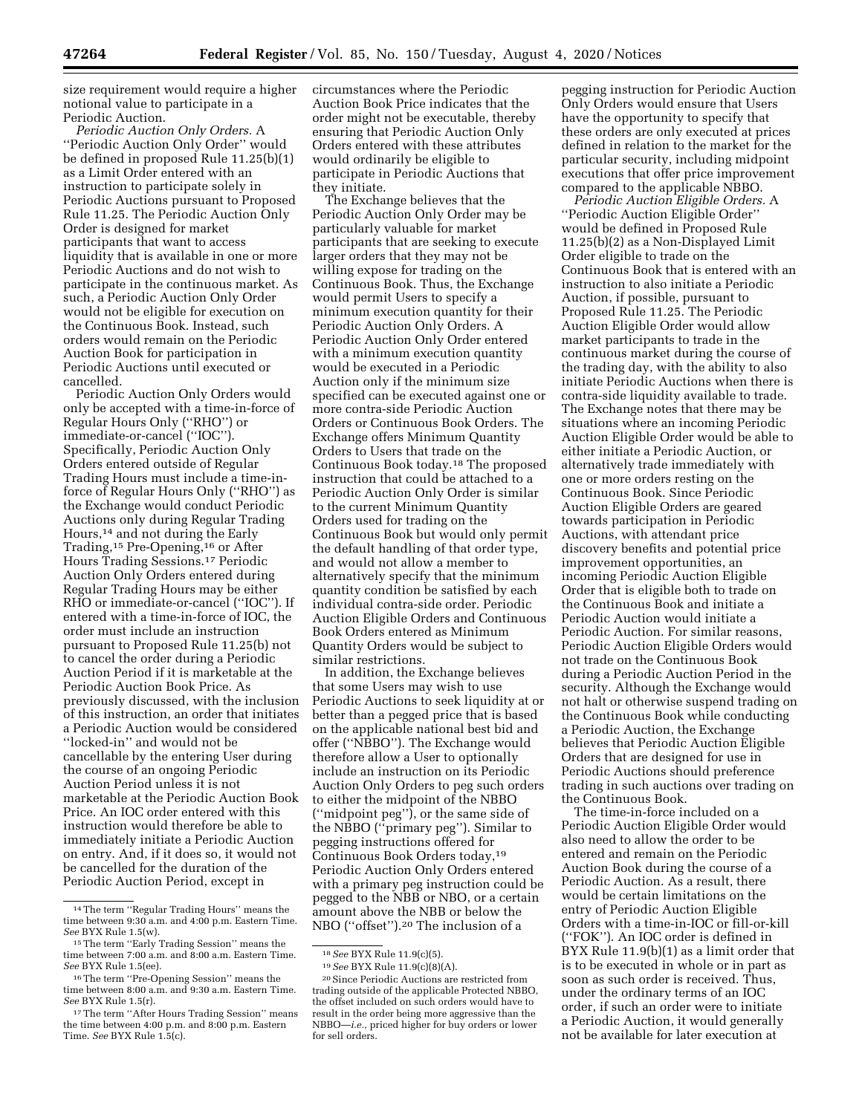size requirement would require a higher notional value to participate in a Periodic Auction.

*Periodic Auction Only Orders.* A ''Periodic Auction Only Order'' would be defined in proposed Rule 11.25(b)(1) as a Limit Order entered with an instruction to participate solely in Periodic Auctions pursuant to Proposed Rule 11.25. The Periodic Auction Only Order is designed for market participants that want to access liquidity that is available in one or more Periodic Auctions and do not wish to participate in the continuous market. As such, a Periodic Auction Only Order would not be eligible for execution on the Continuous Book. Instead, such orders would remain on the Periodic Auction Book for participation in Periodic Auctions until executed or cancelled.

Periodic Auction Only Orders would only be accepted with a time-in-force of Regular Hours Only (''RHO'') or immediate-or-cancel (''IOC''). Specifically, Periodic Auction Only Orders entered outside of Regular Trading Hours must include a time-inforce of Regular Hours Only (''RHO'') as the Exchange would conduct Periodic Auctions only during Regular Trading Hours,14 and not during the Early Trading,15 Pre-Opening,16 or After Hours Trading Sessions.17 Periodic Auction Only Orders entered during Regular Trading Hours may be either RHO or immediate-or-cancel (''IOC''). If entered with a time-in-force of IOC, the order must include an instruction pursuant to Proposed Rule 11.25(b) not to cancel the order during a Periodic Auction Period if it is marketable at the Periodic Auction Book Price. As previously discussed, with the inclusion of this instruction, an order that initiates a Periodic Auction would be considered ''locked-in'' and would not be cancellable by the entering User during the course of an ongoing Periodic Auction Period unless it is not marketable at the Periodic Auction Book Price. An IOC order entered with this instruction would therefore be able to immediately initiate a Periodic Auction on entry. And, if it does so, it would not be cancelled for the duration of the Periodic Auction Period, except in

circumstances where the Periodic Auction Book Price indicates that the order might not be executable, thereby ensuring that Periodic Auction Only Orders entered with these attributes would ordinarily be eligible to participate in Periodic Auctions that they initiate.

The Exchange believes that the Periodic Auction Only Order may be particularly valuable for market participants that are seeking to execute larger orders that they may not be willing expose for trading on the Continuous Book. Thus, the Exchange would permit Users to specify a minimum execution quantity for their Periodic Auction Only Orders. A Periodic Auction Only Order entered with a minimum execution quantity would be executed in a Periodic Auction only if the minimum size specified can be executed against one or more contra-side Periodic Auction Orders or Continuous Book Orders. The Exchange offers Minimum Quantity Orders to Users that trade on the Continuous Book today.18 The proposed instruction that could be attached to a Periodic Auction Only Order is similar to the current Minimum Quantity Orders used for trading on the Continuous Book but would only permit the default handling of that order type, and would not allow a member to alternatively specify that the minimum quantity condition be satisfied by each individual contra-side order. Periodic Auction Eligible Orders and Continuous Book Orders entered as Minimum Quantity Orders would be subject to similar restrictions.

In addition, the Exchange believes that some Users may wish to use Periodic Auctions to seek liquidity at or better than a pegged price that is based on the applicable national best bid and offer (''NBBO''). The Exchange would therefore allow a User to optionally include an instruction on its Periodic Auction Only Orders to peg such orders to either the midpoint of the NBBO (''midpoint peg''), or the same side of the NBBO (''primary peg''). Similar to pegging instructions offered for Continuous Book Orders today,19 Periodic Auction Only Orders entered with a primary peg instruction could be pegged to the NBB or NBO, or a certain amount above the NBB or below the NBO (''offset'').20 The inclusion of a

pegging instruction for Periodic Auction Only Orders would ensure that Users have the opportunity to specify that these orders are only executed at prices defined in relation to the market for the particular security, including midpoint executions that offer price improvement compared to the applicable NBBO.

*Periodic Auction Eligible Orders.* A ''Periodic Auction Eligible Order'' would be defined in Proposed Rule 11.25(b)(2) as a Non-Displayed Limit Order eligible to trade on the Continuous Book that is entered with an instruction to also initiate a Periodic Auction, if possible, pursuant to Proposed Rule 11.25. The Periodic Auction Eligible Order would allow market participants to trade in the continuous market during the course of the trading day, with the ability to also initiate Periodic Auctions when there is contra-side liquidity available to trade. The Exchange notes that there may be situations where an incoming Periodic Auction Eligible Order would be able to either initiate a Periodic Auction, or alternatively trade immediately with one or more orders resting on the Continuous Book. Since Periodic Auction Eligible Orders are geared towards participation in Periodic Auctions, with attendant price discovery benefits and potential price improvement opportunities, an incoming Periodic Auction Eligible Order that is eligible both to trade on the Continuous Book and initiate a Periodic Auction would initiate a Periodic Auction. For similar reasons, Periodic Auction Eligible Orders would not trade on the Continuous Book during a Periodic Auction Period in the security. Although the Exchange would not halt or otherwise suspend trading on the Continuous Book while conducting a Periodic Auction, the Exchange believes that Periodic Auction Eligible Orders that are designed for use in Periodic Auctions should preference trading in such auctions over trading on the Continuous Book.

The time-in-force included on a Periodic Auction Eligible Order would also need to allow the order to be entered and remain on the Periodic Auction Book during the course of a Periodic Auction. As a result, there would be certain limitations on the entry of Periodic Auction Eligible Orders with a time-in-IOC or fill-or-kill (''FOK''). An IOC order is defined in BYX Rule 11.9(b)(1) as a limit order that is to be executed in whole or in part as soon as such order is received. Thus, under the ordinary terms of an IOC order, if such an order were to initiate a Periodic Auction, it would generally not be available for later execution at

<sup>14</sup>The term ''Regular Trading Hours'' means the time between 9:30 a.m. and 4:00 p.m. Eastern Time. *See* BYX Rule 1.5(w).

<sup>15</sup>The term ''Early Trading Session'' means the time between 7:00 a.m. and 8:00 a.m. Eastern Time. *See* BYX Rule 1.5(ee).

<sup>16</sup>The term ''Pre-Opening Session'' means the time between 8:00 a.m. and 9:30 a.m. Eastern Time. *See* BYX Rule 1.5(r).

<sup>17</sup>The term ''After Hours Trading Session'' means the time between 4:00 p.m. and 8:00 p.m. Eastern Time. *See* BYX Rule 1.5(c).

<sup>18</sup>*See* BYX Rule 11.9(c)(5).

<sup>19</sup>*See* BYX Rule 11.9(c)(8)(A).

<sup>20</sup>Since Periodic Auctions are restricted from trading outside of the applicable Protected NBBO, the offset included on such orders would have to result in the order being more aggressive than the NBBO—*i.e.,* priced higher for buy orders or lower for sell orders.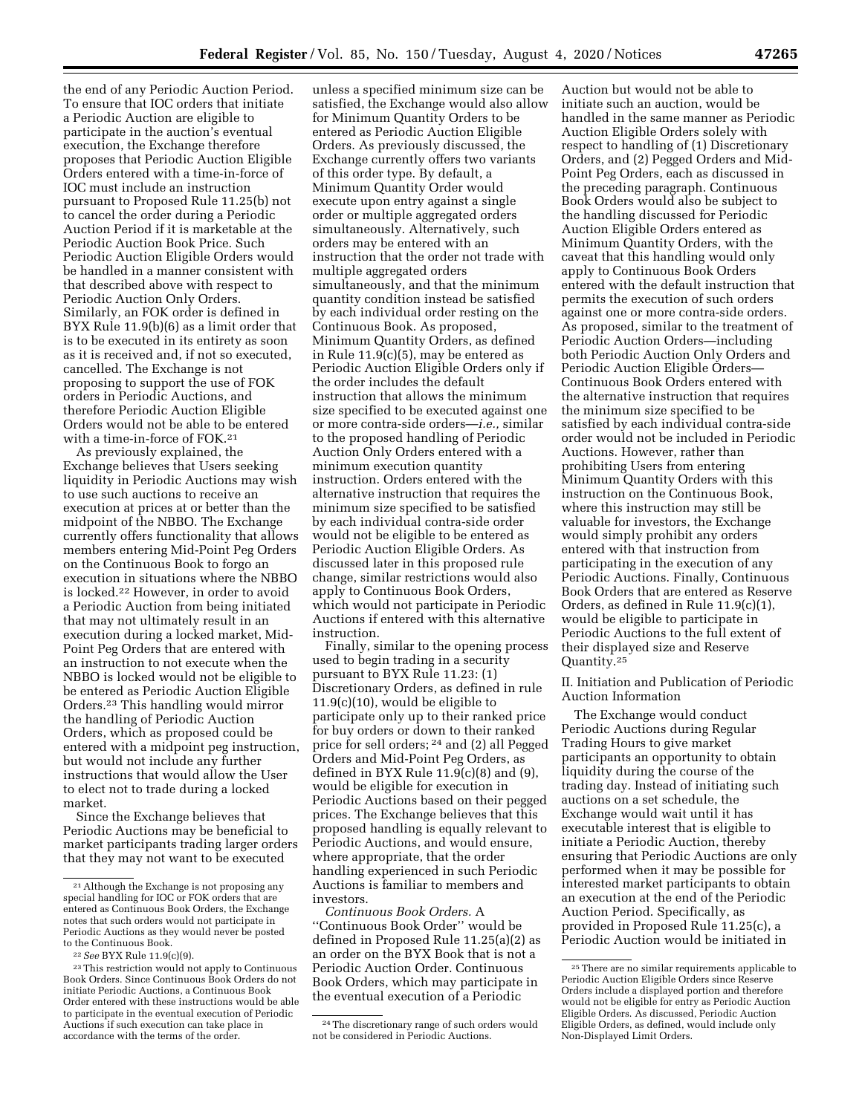the end of any Periodic Auction Period. To ensure that IOC orders that initiate a Periodic Auction are eligible to participate in the auction's eventual execution, the Exchange therefore proposes that Periodic Auction Eligible Orders entered with a time-in-force of IOC must include an instruction pursuant to Proposed Rule 11.25(b) not to cancel the order during a Periodic Auction Period if it is marketable at the Periodic Auction Book Price. Such Periodic Auction Eligible Orders would be handled in a manner consistent with that described above with respect to Periodic Auction Only Orders. Similarly, an FOK order is defined in BYX Rule 11.9(b)(6) as a limit order that is to be executed in its entirety as soon as it is received and, if not so executed, cancelled. The Exchange is not proposing to support the use of FOK orders in Periodic Auctions, and therefore Periodic Auction Eligible Orders would not be able to be entered with a time-in-force of FOK.21

As previously explained, the Exchange believes that Users seeking liquidity in Periodic Auctions may wish to use such auctions to receive an execution at prices at or better than the midpoint of the NBBO. The Exchange currently offers functionality that allows members entering Mid-Point Peg Orders on the Continuous Book to forgo an execution in situations where the NBBO is locked.22 However, in order to avoid a Periodic Auction from being initiated that may not ultimately result in an execution during a locked market, Mid-Point Peg Orders that are entered with an instruction to not execute when the NBBO is locked would not be eligible to be entered as Periodic Auction Eligible Orders.23 This handling would mirror the handling of Periodic Auction Orders, which as proposed could be entered with a midpoint peg instruction, but would not include any further instructions that would allow the User to elect not to trade during a locked market.

Since the Exchange believes that Periodic Auctions may be beneficial to market participants trading larger orders that they may not want to be executed

unless a specified minimum size can be satisfied, the Exchange would also allow for Minimum Quantity Orders to be entered as Periodic Auction Eligible Orders. As previously discussed, the Exchange currently offers two variants of this order type. By default, a Minimum Quantity Order would execute upon entry against a single order or multiple aggregated orders simultaneously. Alternatively, such orders may be entered with an instruction that the order not trade with multiple aggregated orders simultaneously, and that the minimum quantity condition instead be satisfied by each individual order resting on the Continuous Book. As proposed, Minimum Quantity Orders, as defined in Rule 11.9(c)(5), may be entered as Periodic Auction Eligible Orders only if the order includes the default instruction that allows the minimum size specified to be executed against one or more contra-side orders—*i.e.,* similar to the proposed handling of Periodic Auction Only Orders entered with a minimum execution quantity instruction. Orders entered with the alternative instruction that requires the minimum size specified to be satisfied by each individual contra-side order would not be eligible to be entered as Periodic Auction Eligible Orders. As discussed later in this proposed rule change, similar restrictions would also apply to Continuous Book Orders, which would not participate in Periodic Auctions if entered with this alternative instruction.

Finally, similar to the opening process used to begin trading in a security pursuant to BYX Rule 11.23: (1) Discretionary Orders, as defined in rule 11.9(c)(10), would be eligible to participate only up to their ranked price for buy orders or down to their ranked price for sell orders; 24 and (2) all Pegged Orders and Mid-Point Peg Orders, as defined in BYX Rule 11.9(c)(8) and (9), would be eligible for execution in Periodic Auctions based on their pegged prices. The Exchange believes that this proposed handling is equally relevant to Periodic Auctions, and would ensure, where appropriate, that the order handling experienced in such Periodic Auctions is familiar to members and investors.

*Continuous Book Orders.* A ''Continuous Book Order'' would be defined in Proposed Rule 11.25(a)(2) as an order on the BYX Book that is not a Periodic Auction Order. Continuous Book Orders, which may participate in the eventual execution of a Periodic

Auction but would not be able to initiate such an auction, would be handled in the same manner as Periodic Auction Eligible Orders solely with respect to handling of (1) Discretionary Orders, and (2) Pegged Orders and Mid-Point Peg Orders, each as discussed in the preceding paragraph. Continuous Book Orders would also be subject to the handling discussed for Periodic Auction Eligible Orders entered as Minimum Quantity Orders, with the caveat that this handling would only apply to Continuous Book Orders entered with the default instruction that permits the execution of such orders against one or more contra-side orders. As proposed, similar to the treatment of Periodic Auction Orders—including both Periodic Auction Only Orders and Periodic Auction Eligible Orders— Continuous Book Orders entered with the alternative instruction that requires the minimum size specified to be satisfied by each individual contra-side order would not be included in Periodic Auctions. However, rather than prohibiting Users from entering Minimum Quantity Orders with this instruction on the Continuous Book, where this instruction may still be valuable for investors, the Exchange would simply prohibit any orders entered with that instruction from participating in the execution of any Periodic Auctions. Finally, Continuous Book Orders that are entered as Reserve Orders, as defined in Rule 11.9(c)(1), would be eligible to participate in Periodic Auctions to the full extent of their displayed size and Reserve Quantity.25

II. Initiation and Publication of Periodic Auction Information

The Exchange would conduct Periodic Auctions during Regular Trading Hours to give market participants an opportunity to obtain liquidity during the course of the trading day. Instead of initiating such auctions on a set schedule, the Exchange would wait until it has executable interest that is eligible to initiate a Periodic Auction, thereby ensuring that Periodic Auctions are only performed when it may be possible for interested market participants to obtain an execution at the end of the Periodic Auction Period. Specifically, as provided in Proposed Rule 11.25(c), a Periodic Auction would be initiated in

<sup>21</sup>Although the Exchange is not proposing any special handling for IOC or FOK orders that are entered as Continuous Book Orders, the Exchange notes that such orders would not participate in Periodic Auctions as they would never be posted to the Continuous Book.

<sup>22</sup>*See* BYX Rule 11.9(c)(9).

<sup>23</sup>This restriction would not apply to Continuous Book Orders. Since Continuous Book Orders do not initiate Periodic Auctions, a Continuous Book Order entered with these instructions would be able to participate in the eventual execution of Periodic Auctions if such execution can take place in accordance with the terms of the order.

<sup>24</sup>The discretionary range of such orders would not be considered in Periodic Auctions.

<sup>25</sup>There are no similar requirements applicable to Periodic Auction Eligible Orders since Reserve Orders include a displayed portion and therefore would not be eligible for entry as Periodic Auction Eligible Orders. As discussed, Periodic Auction Eligible Orders, as defined, would include only Non-Displayed Limit Orders.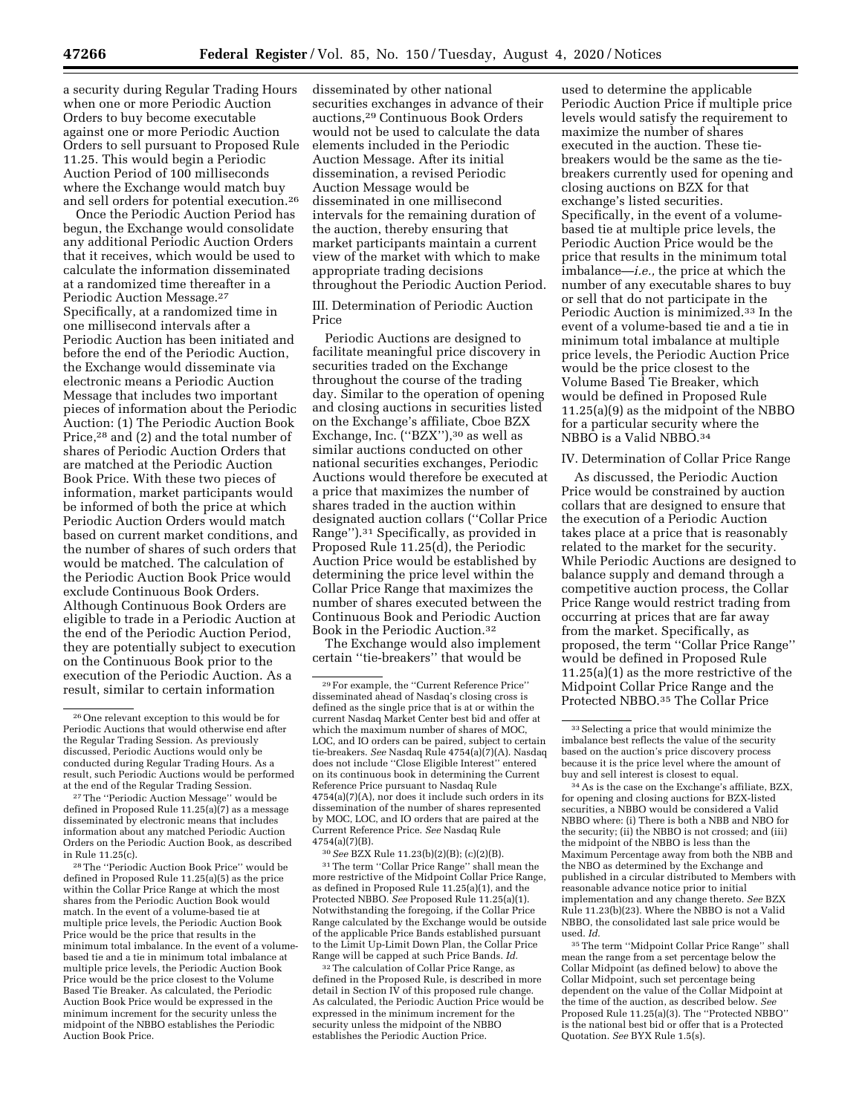a security during Regular Trading Hours when one or more Periodic Auction Orders to buy become executable against one or more Periodic Auction Orders to sell pursuant to Proposed Rule 11.25. This would begin a Periodic Auction Period of 100 milliseconds where the Exchange would match buy and sell orders for potential execution.26

Once the Periodic Auction Period has begun, the Exchange would consolidate any additional Periodic Auction Orders that it receives, which would be used to calculate the information disseminated at a randomized time thereafter in a Periodic Auction Message.27 Specifically, at a randomized time in one millisecond intervals after a Periodic Auction has been initiated and before the end of the Periodic Auction, the Exchange would disseminate via electronic means a Periodic Auction Message that includes two important pieces of information about the Periodic Auction: (1) The Periodic Auction Book Price,28 and (2) and the total number of shares of Periodic Auction Orders that are matched at the Periodic Auction Book Price. With these two pieces of information, market participants would be informed of both the price at which Periodic Auction Orders would match based on current market conditions, and the number of shares of such orders that would be matched. The calculation of the Periodic Auction Book Price would exclude Continuous Book Orders. Although Continuous Book Orders are eligible to trade in a Periodic Auction at the end of the Periodic Auction Period, they are potentially subject to execution on the Continuous Book prior to the execution of the Periodic Auction. As a result, similar to certain information

28The ''Periodic Auction Book Price'' would be defined in Proposed Rule 11.25(a)(5) as the price within the Collar Price Range at which the most shares from the Periodic Auction Book would match. In the event of a volume-based tie at multiple price levels, the Periodic Auction Book Price would be the price that results in the minimum total imbalance. In the event of a volumebased tie and a tie in minimum total imbalance at multiple price levels, the Periodic Auction Book Price would be the price closest to the Volume Based Tie Breaker. As calculated, the Periodic Auction Book Price would be expressed in the minimum increment for the security unless the midpoint of the NBBO establishes the Periodic Auction Book Price.

disseminated by other national securities exchanges in advance of their auctions,29 Continuous Book Orders would not be used to calculate the data elements included in the Periodic Auction Message. After its initial dissemination, a revised Periodic Auction Message would be disseminated in one millisecond intervals for the remaining duration of the auction, thereby ensuring that market participants maintain a current view of the market with which to make appropriate trading decisions throughout the Periodic Auction Period.

III. Determination of Periodic Auction Price

Periodic Auctions are designed to facilitate meaningful price discovery in securities traded on the Exchange throughout the course of the trading day. Similar to the operation of opening and closing auctions in securities listed on the Exchange's affiliate, Cboe BZX Exchange, Inc. (''BZX''),30 as well as similar auctions conducted on other national securities exchanges, Periodic Auctions would therefore be executed at a price that maximizes the number of shares traded in the auction within designated auction collars (''Collar Price Range'').31 Specifically, as provided in Proposed Rule 11.25(d), the Periodic Auction Price would be established by determining the price level within the Collar Price Range that maximizes the number of shares executed between the Continuous Book and Periodic Auction Book in the Periodic Auction.32

The Exchange would also implement certain ''tie-breakers'' that would be

30*See* BZX Rule 11.23(b)(2)(B); (c)(2)(B). 31The term ''Collar Price Range'' shall mean the more restrictive of the Midpoint Collar Price Range, as defined in Proposed Rule 11.25(a)(1), and the Protected NBBO. *See* Proposed Rule 11.25(a)(1). Notwithstanding the foregoing, if the Collar Price Range calculated by the Exchange would be outside of the applicable Price Bands established pursuant to the Limit Up-Limit Down Plan, the Collar Price Range will be capped at such Price Bands. *Id.* 

32The calculation of Collar Price Range, as defined in the Proposed Rule, is described in more detail in Section IV of this proposed rule change As calculated, the Periodic Auction Price would be expressed in the minimum increment for the security unless the midpoint of the NBBO establishes the Periodic Auction Price.

used to determine the applicable Periodic Auction Price if multiple price levels would satisfy the requirement to maximize the number of shares executed in the auction. These tiebreakers would be the same as the tiebreakers currently used for opening and closing auctions on BZX for that exchange's listed securities. Specifically, in the event of a volumebased tie at multiple price levels, the Periodic Auction Price would be the price that results in the minimum total imbalance—*i.e.,* the price at which the number of any executable shares to buy or sell that do not participate in the Periodic Auction is minimized.33 In the event of a volume-based tie and a tie in minimum total imbalance at multiple price levels, the Periodic Auction Price would be the price closest to the Volume Based Tie Breaker, which would be defined in Proposed Rule 11.25(a)(9) as the midpoint of the NBBO for a particular security where the NBBO is a Valid NBBO.34

#### IV. Determination of Collar Price Range

As discussed, the Periodic Auction Price would be constrained by auction collars that are designed to ensure that the execution of a Periodic Auction takes place at a price that is reasonably related to the market for the security. While Periodic Auctions are designed to balance supply and demand through a competitive auction process, the Collar Price Range would restrict trading from occurring at prices that are far away from the market. Specifically, as proposed, the term ''Collar Price Range'' would be defined in Proposed Rule 11.25(a)(1) as the more restrictive of the Midpoint Collar Price Range and the Protected NBBO.35 The Collar Price

34As is the case on the Exchange's affiliate, BZX, for opening and closing auctions for BZX-listed securities, a NBBO would be considered a Valid NBBO where: (i) There is both a NBB and NBO for the security; (ii) the NBBO is not crossed; and (iii) the midpoint of the NBBO is less than the Maximum Percentage away from both the NBB and the NBO as determined by the Exchange and published in a circular distributed to Members with reasonable advance notice prior to initial implementation and any change thereto. *See* BZX Rule 11.23(b)(23). Where the NBBO is not a Valid NBBO, the consolidated last sale price would be used. *Id.* 

35The term ''Midpoint Collar Price Range'' shall mean the range from a set percentage below the Collar Midpoint (as defined below) to above the Collar Midpoint, such set percentage being dependent on the value of the Collar Midpoint at the time of the auction, as described below. *See*  Proposed Rule 11.25(a)(3). The ''Protected NBBO'' is the national best bid or offer that is a Protected Quotation. *See* BYX Rule 1.5(s).

 $^{\rm 26}$  One relevant exception to this would be for Periodic Auctions that would otherwise end after the Regular Trading Session. As previously discussed, Periodic Auctions would only be conducted during Regular Trading Hours. As a result, such Periodic Auctions would be performed at the end of the Regular Trading Session.

<sup>27</sup>The ''Periodic Auction Message'' would be defined in Proposed Rule  $11.25(a)(7)$  as a message disseminated by electronic means that includes information about any matched Periodic Auction Orders on the Periodic Auction Book, as described in Rule 11.25(c).

<sup>29</sup>For example, the ''Current Reference Price'' disseminated ahead of Nasdaq's closing cross is defined as the single price that is at or within the current Nasdaq Market Center best bid and offer at which the maximum number of shares of MOC, LOC, and IO orders can be paired, subject to certain tie-breakers. *See* Nasdaq Rule 4754(a)(7)(A). Nasdaq does not include ''Close Eligible Interest'' entered on its continuous book in determining the Current Reference Price pursuant to Nasdaq Rule 4754(a)(7)(A), nor does it include such orders in its dissemination of the number of shares represented by MOC, LOC, and IO orders that are paired at the Current Reference Price. *See* Nasdaq Rule 4754(a)(7)(B).

 $^{33}$  Selecting a price that would minimize the imbalance best reflects the value of the security based on the auction's price discovery process because it is the price level where the amount of buy and sell interest is closest to equal.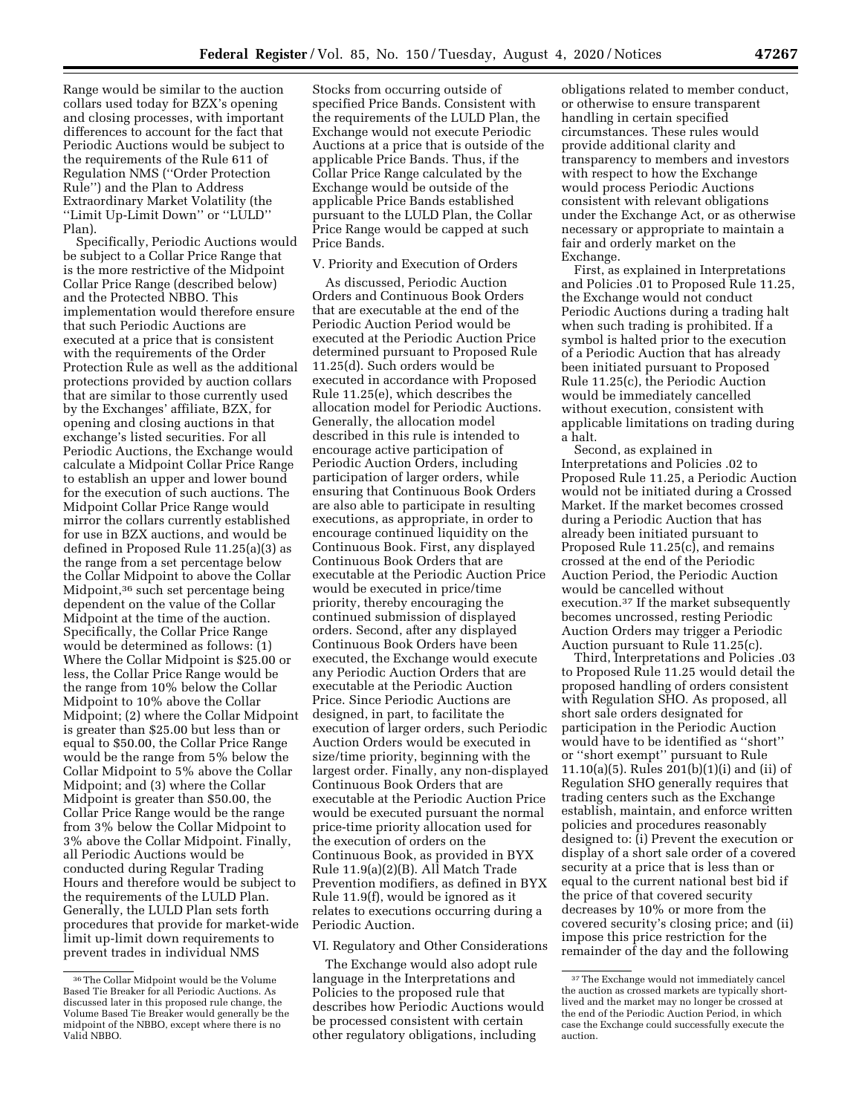Range would be similar to the auction collars used today for BZX's opening and closing processes, with important differences to account for the fact that Periodic Auctions would be subject to the requirements of the Rule 611 of Regulation NMS (''Order Protection Rule'') and the Plan to Address Extraordinary Market Volatility (the ''Limit Up-Limit Down'' or ''LULD'' Plan).

Specifically, Periodic Auctions would be subject to a Collar Price Range that is the more restrictive of the Midpoint Collar Price Range (described below) and the Protected NBBO. This implementation would therefore ensure that such Periodic Auctions are executed at a price that is consistent with the requirements of the Order Protection Rule as well as the additional protections provided by auction collars that are similar to those currently used by the Exchanges' affiliate, BZX, for opening and closing auctions in that exchange's listed securities. For all Periodic Auctions, the Exchange would calculate a Midpoint Collar Price Range to establish an upper and lower bound for the execution of such auctions. The Midpoint Collar Price Range would mirror the collars currently established for use in BZX auctions, and would be defined in Proposed Rule 11.25(a)(3) as the range from a set percentage below the Collar Midpoint to above the Collar Midpoint,36 such set percentage being dependent on the value of the Collar Midpoint at the time of the auction. Specifically, the Collar Price Range would be determined as follows: (1) Where the Collar Midpoint is \$25.00 or less, the Collar Price Range would be the range from 10% below the Collar Midpoint to 10% above the Collar Midpoint; (2) where the Collar Midpoint is greater than \$25.00 but less than or equal to \$50.00, the Collar Price Range would be the range from 5% below the Collar Midpoint to 5% above the Collar Midpoint; and (3) where the Collar Midpoint is greater than \$50.00, the Collar Price Range would be the range from 3% below the Collar Midpoint to 3% above the Collar Midpoint. Finally, all Periodic Auctions would be conducted during Regular Trading Hours and therefore would be subject to the requirements of the LULD Plan. Generally, the LULD Plan sets forth procedures that provide for market-wide limit up-limit down requirements to prevent trades in individual NMS

Stocks from occurring outside of specified Price Bands. Consistent with the requirements of the LULD Plan, the Exchange would not execute Periodic Auctions at a price that is outside of the applicable Price Bands. Thus, if the Collar Price Range calculated by the Exchange would be outside of the applicable Price Bands established pursuant to the LULD Plan, the Collar Price Range would be capped at such Price Bands.

### V. Priority and Execution of Orders

As discussed, Periodic Auction Orders and Continuous Book Orders that are executable at the end of the Periodic Auction Period would be executed at the Periodic Auction Price determined pursuant to Proposed Rule 11.25(d). Such orders would be executed in accordance with Proposed Rule 11.25(e), which describes the allocation model for Periodic Auctions. Generally, the allocation model described in this rule is intended to encourage active participation of Periodic Auction Orders, including participation of larger orders, while ensuring that Continuous Book Orders are also able to participate in resulting executions, as appropriate, in order to encourage continued liquidity on the Continuous Book. First, any displayed Continuous Book Orders that are executable at the Periodic Auction Price would be executed in price/time priority, thereby encouraging the continued submission of displayed orders. Second, after any displayed Continuous Book Orders have been executed, the Exchange would execute any Periodic Auction Orders that are executable at the Periodic Auction Price. Since Periodic Auctions are designed, in part, to facilitate the execution of larger orders, such Periodic Auction Orders would be executed in size/time priority, beginning with the largest order. Finally, any non-displayed Continuous Book Orders that are executable at the Periodic Auction Price would be executed pursuant the normal price-time priority allocation used for the execution of orders on the Continuous Book, as provided in BYX Rule 11.9(a)(2)(B). All Match Trade Prevention modifiers, as defined in BYX Rule 11.9(f), would be ignored as it relates to executions occurring during a Periodic Auction.

VI. Regulatory and Other Considerations

The Exchange would also adopt rule language in the Interpretations and Policies to the proposed rule that describes how Periodic Auctions would be processed consistent with certain other regulatory obligations, including

obligations related to member conduct, or otherwise to ensure transparent handling in certain specified circumstances. These rules would provide additional clarity and transparency to members and investors with respect to how the Exchange would process Periodic Auctions consistent with relevant obligations under the Exchange Act, or as otherwise necessary or appropriate to maintain a fair and orderly market on the Exchange.

First, as explained in Interpretations and Policies .01 to Proposed Rule 11.25, the Exchange would not conduct Periodic Auctions during a trading halt when such trading is prohibited. If a symbol is halted prior to the execution of a Periodic Auction that has already been initiated pursuant to Proposed Rule 11.25(c), the Periodic Auction would be immediately cancelled without execution, consistent with applicable limitations on trading during a halt.

Second, as explained in Interpretations and Policies .02 to Proposed Rule 11.25, a Periodic Auction would not be initiated during a Crossed Market. If the market becomes crossed during a Periodic Auction that has already been initiated pursuant to Proposed Rule 11.25(c), and remains crossed at the end of the Periodic Auction Period, the Periodic Auction would be cancelled without execution.37 If the market subsequently becomes uncrossed, resting Periodic Auction Orders may trigger a Periodic Auction pursuant to Rule 11.25(c).

Third, Interpretations and Policies .03 to Proposed Rule 11.25 would detail the proposed handling of orders consistent with Regulation SHO. As proposed, all short sale orders designated for participation in the Periodic Auction would have to be identified as ''short'' or ''short exempt'' pursuant to Rule 11.10(a)(5). Rules 201(b)(1)(i) and (ii) of Regulation SHO generally requires that trading centers such as the Exchange establish, maintain, and enforce written policies and procedures reasonably designed to: (i) Prevent the execution or display of a short sale order of a covered security at a price that is less than or equal to the current national best bid if the price of that covered security decreases by 10% or more from the covered security's closing price; and (ii) impose this price restriction for the remainder of the day and the following

<sup>36</sup>The Collar Midpoint would be the Volume Based Tie Breaker for all Periodic Auctions. As discussed later in this proposed rule change, the Volume Based Tie Breaker would generally be the midpoint of the NBBO, except where there is no Valid NBBO.

<sup>&</sup>lt;sup>37</sup>The Exchange would not immediately cancel the auction as crossed markets are typically shortlived and the market may no longer be crossed at the end of the Periodic Auction Period, in which case the Exchange could successfully execute the auction.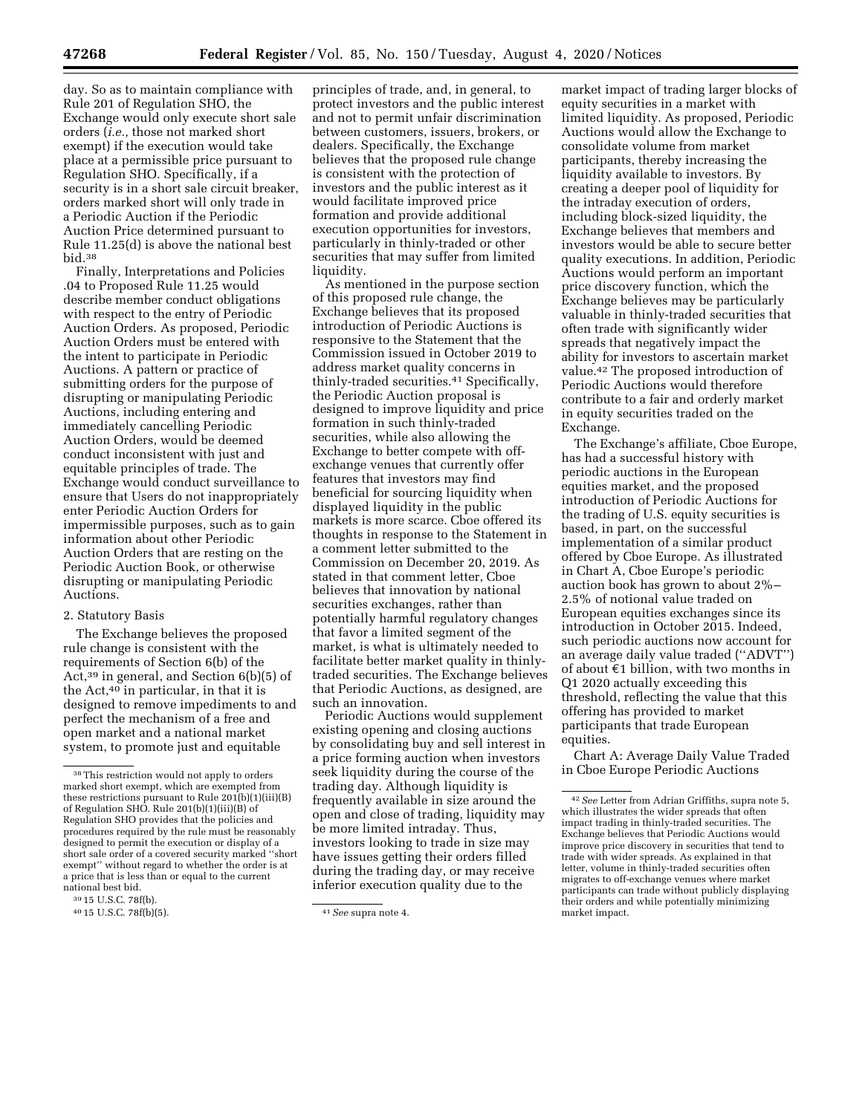day. So as to maintain compliance with Rule 201 of Regulation SHO, the Exchange would only execute short sale orders (*i.e.,* those not marked short exempt) if the execution would take place at a permissible price pursuant to Regulation SHO. Specifically, if a security is in a short sale circuit breaker, orders marked short will only trade in a Periodic Auction if the Periodic Auction Price determined pursuant to Rule 11.25(d) is above the national best bid.38

Finally, Interpretations and Policies .04 to Proposed Rule 11.25 would describe member conduct obligations with respect to the entry of Periodic Auction Orders. As proposed, Periodic Auction Orders must be entered with the intent to participate in Periodic Auctions. A pattern or practice of submitting orders for the purpose of disrupting or manipulating Periodic Auctions, including entering and immediately cancelling Periodic Auction Orders, would be deemed conduct inconsistent with just and equitable principles of trade. The Exchange would conduct surveillance to ensure that Users do not inappropriately enter Periodic Auction Orders for impermissible purposes, such as to gain information about other Periodic Auction Orders that are resting on the Periodic Auction Book, or otherwise disrupting or manipulating Periodic Auctions.

### 2. Statutory Basis

The Exchange believes the proposed rule change is consistent with the requirements of Section 6(b) of the Act,39 in general, and Section 6(b)(5) of the Act,40 in particular, in that it is designed to remove impediments to and perfect the mechanism of a free and open market and a national market system, to promote just and equitable

principles of trade, and, in general, to protect investors and the public interest and not to permit unfair discrimination between customers, issuers, brokers, or dealers. Specifically, the Exchange believes that the proposed rule change is consistent with the protection of investors and the public interest as it would facilitate improved price formation and provide additional execution opportunities for investors, particularly in thinly-traded or other securities that may suffer from limited liquidity.

As mentioned in the purpose section of this proposed rule change, the Exchange believes that its proposed introduction of Periodic Auctions is responsive to the Statement that the Commission issued in October 2019 to address market quality concerns in thinly-traded securities.41 Specifically, the Periodic Auction proposal is designed to improve liquidity and price formation in such thinly-traded securities, while also allowing the Exchange to better compete with offexchange venues that currently offer features that investors may find beneficial for sourcing liquidity when displayed liquidity in the public markets is more scarce. Cboe offered its thoughts in response to the Statement in a comment letter submitted to the Commission on December 20, 2019. As stated in that comment letter, Cboe believes that innovation by national securities exchanges, rather than potentially harmful regulatory changes that favor a limited segment of the market, is what is ultimately needed to facilitate better market quality in thinlytraded securities. The Exchange believes that Periodic Auctions, as designed, are such an innovation.

Periodic Auctions would supplement existing opening and closing auctions by consolidating buy and sell interest in a price forming auction when investors seek liquidity during the course of the trading day. Although liquidity is frequently available in size around the open and close of trading, liquidity may be more limited intraday. Thus, investors looking to trade in size may have issues getting their orders filled during the trading day, or may receive inferior execution quality due to the

market impact of trading larger blocks of equity securities in a market with limited liquidity. As proposed, Periodic Auctions would allow the Exchange to consolidate volume from market participants, thereby increasing the liquidity available to investors. By creating a deeper pool of liquidity for the intraday execution of orders, including block-sized liquidity, the Exchange believes that members and investors would be able to secure better quality executions. In addition, Periodic Auctions would perform an important price discovery function, which the Exchange believes may be particularly valuable in thinly-traded securities that often trade with significantly wider spreads that negatively impact the ability for investors to ascertain market value.42 The proposed introduction of Periodic Auctions would therefore contribute to a fair and orderly market in equity securities traded on the Exchange.

The Exchange's affiliate, Cboe Europe, has had a successful history with periodic auctions in the European equities market, and the proposed introduction of Periodic Auctions for the trading of U.S. equity securities is based, in part, on the successful implementation of a similar product offered by Cboe Europe. As illustrated in Chart A, Cboe Europe's periodic auction book has grown to about 2%– 2.5% of notional value traded on European equities exchanges since its introduction in October 2015. Indeed, such periodic auctions now account for an average daily value traded (''ADVT'') of about  $E1$  billion, with two months in Q1 2020 actually exceeding this threshold, reflecting the value that this offering has provided to market participants that trade European equities.

Chart A: Average Daily Value Traded in Cboe Europe Periodic Auctions

<sup>38</sup>This restriction would not apply to orders marked short exempt, which are exempted from these restrictions pursuant to Rule 201(b)(1)(iii)(B) of Regulation SHO. Rule 201(b)(1)(iii)(B) of Regulation SHO provides that the policies and procedures required by the rule must be reasonably designed to permit the execution or display of a short sale order of a covered security marked ''short exempt'' without regard to whether the order is at a price that is less than or equal to the current national best bid.

<sup>39</sup> 15 U.S.C. 78f(b).

<sup>40</sup> 15 U.S.C. 78f(b)(5). 41*See* supra note 4.

<sup>42</sup>*See* Letter from Adrian Griffiths, supra note 5, which illustrates the wider spreads that often impact trading in thinly-traded securities. The Exchange believes that Periodic Auctions would improve price discovery in securities that tend to trade with wider spreads. As explained in that letter, volume in thinly-traded securities often migrates to off-exchange venues where market participants can trade without publicly displaying their orders and while potentially minimizing market impact.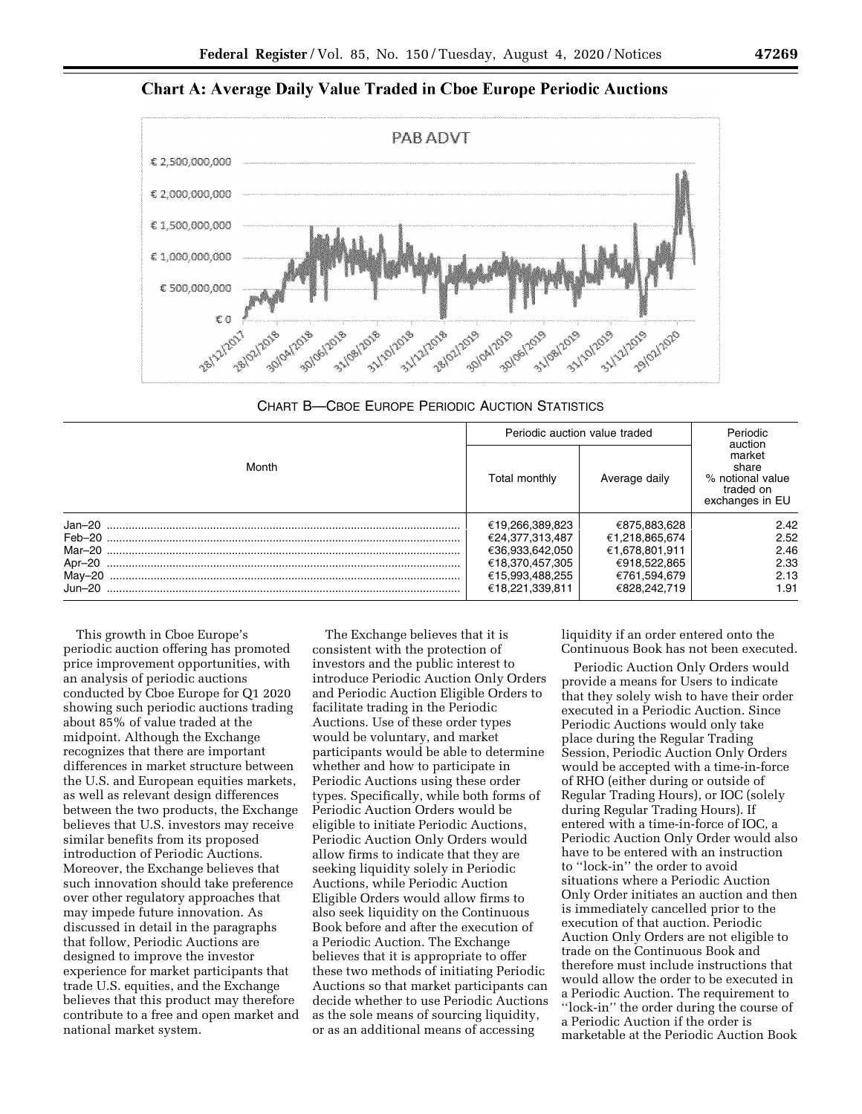**Chart A: Average Daily Value Traded in Cboe Europe Periodic Auctions** 



CHART B—CBOE EUROPE PERIODIC AUCTION STATISTICS

| Month   | Periodic auction value traded |                | Periodic<br>auction                                                 |
|---------|-------------------------------|----------------|---------------------------------------------------------------------|
|         | Total monthly                 | Average daily  | market<br>share<br>% notional value<br>traded on<br>exchanges in EU |
| Jan-20  | €19,266,389,823               | €875,883,628   | 2.42                                                                |
|         | €24,377,313,487               | €1,218,865,674 | 2.52                                                                |
|         | €36,933,642,050               | €1,678,801,911 | 2.46                                                                |
| Apr-20  | €18,370,457,305               | €918,522,865   | 2.33                                                                |
|         | €15,993,488,255               | €761,594,679   | 2.13                                                                |
| .Jun–20 | €18,221,339,811               | €828,242,719   | 1.91                                                                |

This growth in Cboe Europe's periodic auction offering has promoted price improvement opportunities, with an analysis of periodic auctions conducted by Cboe Europe for Q1 2020 showing such periodic auctions trading about 85% of value traded at the midpoint. Although the Exchange recognizes that there are important differences in market structure between the U.S. and European equities markets, as well as relevant design differences between the two products, the Exchange believes that U.S. investors may receive similar benefits from its proposed introduction of Periodic Auctions. Moreover, the Exchange believes that such innovation should take preference over other regulatory approaches that may impede future innovation. As discussed in detail in the paragraphs that follow, Periodic Auctions are designed to improve the investor experience for market participants that trade U.S. equities, and the Exchange believes that this product may therefore contribute to a free and open market and national market system.

The Exchange believes that it is consistent with the protection of investors and the public interest to introduce Periodic Auction Only Orders and Periodic Auction Eligible Orders to facilitate trading in the Periodic Auctions. Use of these order types would be voluntary, and market participants would be able to determine whether and how to participate in Periodic Auctions using these order types. Specifically, while both forms of Periodic Auction Orders would be eligible to initiate Periodic Auctions, Periodic Auction Only Orders would allow firms to indicate that they are seeking liquidity solely in Periodic Auctions, while Periodic Auction Eligible Orders would allow firms to also seek liquidity on the Continuous Book before and after the execution of a Periodic Auction. The Exchange believes that it is appropriate to offer these two methods of initiating Periodic Auctions so that market participants can decide whether to use Periodic Auctions as the sole means of sourcing liquidity, or as an additional means of accessing

liquidity if an order entered onto the Continuous Book has not been executed.

Periodic Auction Only Orders would provide a means for Users to indicate that they solely wish to have their order executed in a Periodic Auction. Since Periodic Auctions would only take place during the Regular Trading Session, Periodic Auction Only Orders would be accepted with a time-in-force of RHO (either during or outside of Regular Trading Hours), or IOC (solely during Regular Trading Hours). If entered with a time-in-force of IOC, a Periodic Auction Only Order would also have to be entered with an instruction to ''lock-in'' the order to avoid situations where a Periodic Auction Only Order initiates an auction and then is immediately cancelled prior to the execution of that auction. Periodic Auction Only Orders are not eligible to trade on the Continuous Book and therefore must include instructions that would allow the order to be executed in a Periodic Auction. The requirement to ''lock-in'' the order during the course of a Periodic Auction if the order is marketable at the Periodic Auction Book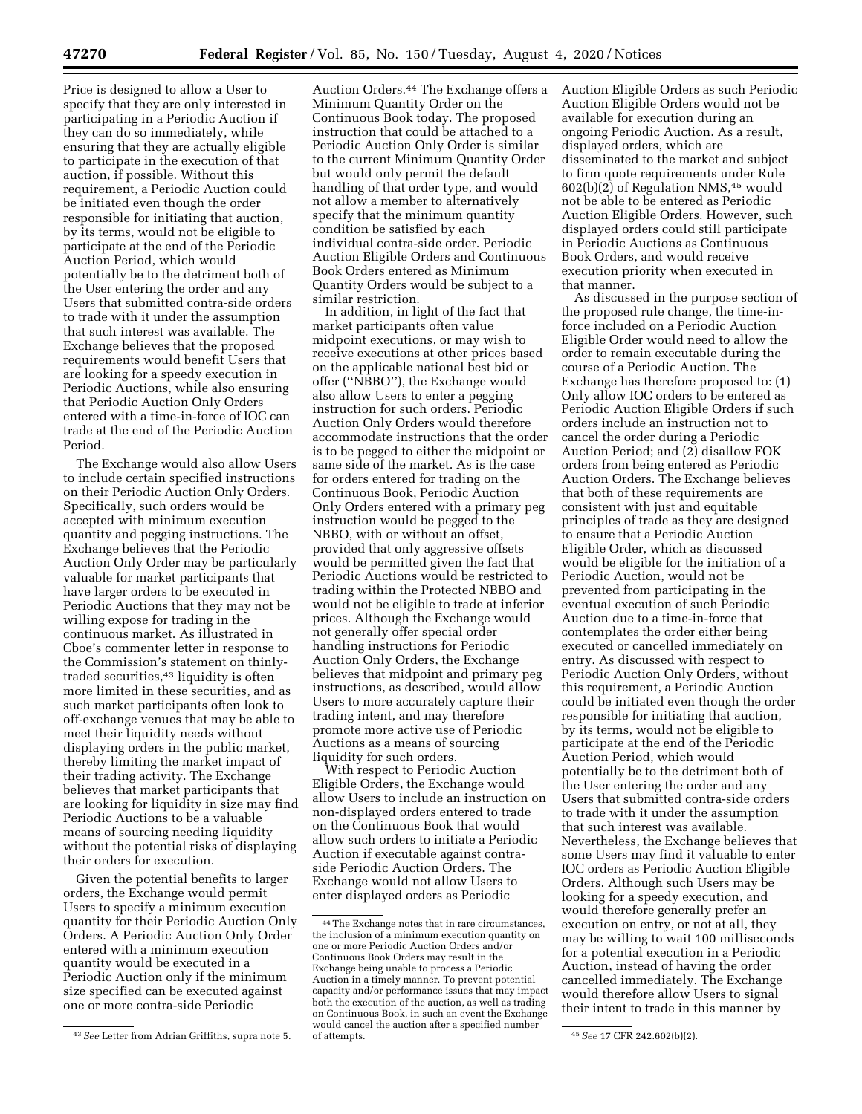Price is designed to allow a User to specify that they are only interested in participating in a Periodic Auction if they can do so immediately, while ensuring that they are actually eligible to participate in the execution of that auction, if possible. Without this requirement, a Periodic Auction could be initiated even though the order responsible for initiating that auction, by its terms, would not be eligible to participate at the end of the Periodic Auction Period, which would potentially be to the detriment both of the User entering the order and any Users that submitted contra-side orders to trade with it under the assumption that such interest was available. The Exchange believes that the proposed requirements would benefit Users that are looking for a speedy execution in Periodic Auctions, while also ensuring that Periodic Auction Only Orders entered with a time-in-force of IOC can trade at the end of the Periodic Auction Period.

The Exchange would also allow Users to include certain specified instructions on their Periodic Auction Only Orders. Specifically, such orders would be accepted with minimum execution quantity and pegging instructions. The Exchange believes that the Periodic Auction Only Order may be particularly valuable for market participants that have larger orders to be executed in Periodic Auctions that they may not be willing expose for trading in the continuous market. As illustrated in Cboe's commenter letter in response to the Commission's statement on thinlytraded securities,<sup>43</sup> liquidity is often more limited in these securities, and as such market participants often look to off-exchange venues that may be able to meet their liquidity needs without displaying orders in the public market, thereby limiting the market impact of their trading activity. The Exchange believes that market participants that are looking for liquidity in size may find Periodic Auctions to be a valuable means of sourcing needing liquidity without the potential risks of displaying their orders for execution.

Given the potential benefits to larger orders, the Exchange would permit Users to specify a minimum execution quantity for their Periodic Auction Only Orders. A Periodic Auction Only Order entered with a minimum execution quantity would be executed in a Periodic Auction only if the minimum size specified can be executed against one or more contra-side Periodic

Auction Orders.<sup>44</sup> The Exchange offers a Minimum Quantity Order on the Continuous Book today. The proposed instruction that could be attached to a Periodic Auction Only Order is similar to the current Minimum Quantity Order but would only permit the default handling of that order type, and would not allow a member to alternatively specify that the minimum quantity condition be satisfied by each individual contra-side order. Periodic Auction Eligible Orders and Continuous Book Orders entered as Minimum Quantity Orders would be subject to a similar restriction.

In addition, in light of the fact that market participants often value midpoint executions, or may wish to receive executions at other prices based on the applicable national best bid or offer (''NBBO''), the Exchange would also allow Users to enter a pegging instruction for such orders. Periodic Auction Only Orders would therefore accommodate instructions that the order is to be pegged to either the midpoint or same side of the market. As is the case for orders entered for trading on the Continuous Book, Periodic Auction Only Orders entered with a primary peg instruction would be pegged to the NBBO, with or without an offset, provided that only aggressive offsets would be permitted given the fact that Periodic Auctions would be restricted to trading within the Protected NBBO and would not be eligible to trade at inferior prices. Although the Exchange would not generally offer special order handling instructions for Periodic Auction Only Orders, the Exchange believes that midpoint and primary peg instructions, as described, would allow Users to more accurately capture their trading intent, and may therefore promote more active use of Periodic Auctions as a means of sourcing liquidity for such orders.

With respect to Periodic Auction Eligible Orders, the Exchange would allow Users to include an instruction on non-displayed orders entered to trade on the Continuous Book that would allow such orders to initiate a Periodic Auction if executable against contraside Periodic Auction Orders. The Exchange would not allow Users to enter displayed orders as Periodic

Auction Eligible Orders as such Periodic Auction Eligible Orders would not be available for execution during an ongoing Periodic Auction. As a result, displayed orders, which are disseminated to the market and subject to firm quote requirements under Rule 602(b)(2) of Regulation NMS,45 would not be able to be entered as Periodic Auction Eligible Orders. However, such displayed orders could still participate in Periodic Auctions as Continuous Book Orders, and would receive execution priority when executed in that manner.

As discussed in the purpose section of the proposed rule change, the time-inforce included on a Periodic Auction Eligible Order would need to allow the order to remain executable during the course of a Periodic Auction. The Exchange has therefore proposed to: (1) Only allow IOC orders to be entered as Periodic Auction Eligible Orders if such orders include an instruction not to cancel the order during a Periodic Auction Period; and (2) disallow FOK orders from being entered as Periodic Auction Orders. The Exchange believes that both of these requirements are consistent with just and equitable principles of trade as they are designed to ensure that a Periodic Auction Eligible Order, which as discussed would be eligible for the initiation of a Periodic Auction, would not be prevented from participating in the eventual execution of such Periodic Auction due to a time-in-force that contemplates the order either being executed or cancelled immediately on entry. As discussed with respect to Periodic Auction Only Orders, without this requirement, a Periodic Auction could be initiated even though the order responsible for initiating that auction, by its terms, would not be eligible to participate at the end of the Periodic Auction Period, which would potentially be to the detriment both of the User entering the order and any Users that submitted contra-side orders to trade with it under the assumption that such interest was available. Nevertheless, the Exchange believes that some Users may find it valuable to enter IOC orders as Periodic Auction Eligible Orders. Although such Users may be looking for a speedy execution, and would therefore generally prefer an execution on entry, or not at all, they may be willing to wait 100 milliseconds for a potential execution in a Periodic Auction, instead of having the order cancelled immediately. The Exchange would therefore allow Users to signal their intent to trade in this manner by

<sup>43</sup>*See* Letter from Adrian Griffiths, supra note 5.

<sup>44</sup>The Exchange notes that in rare circumstances, the inclusion of a minimum execution quantity on one or more Periodic Auction Orders and/or Continuous Book Orders may result in the Exchange being unable to process a Periodic Auction in a timely manner. To prevent potential capacity and/or performance issues that may impact both the execution of the auction, as well as trading on Continuous Book, in such an event the Exchange would cancel the auction after a specified number of attempts. 45*See* 17 CFR 242.602(b)(2).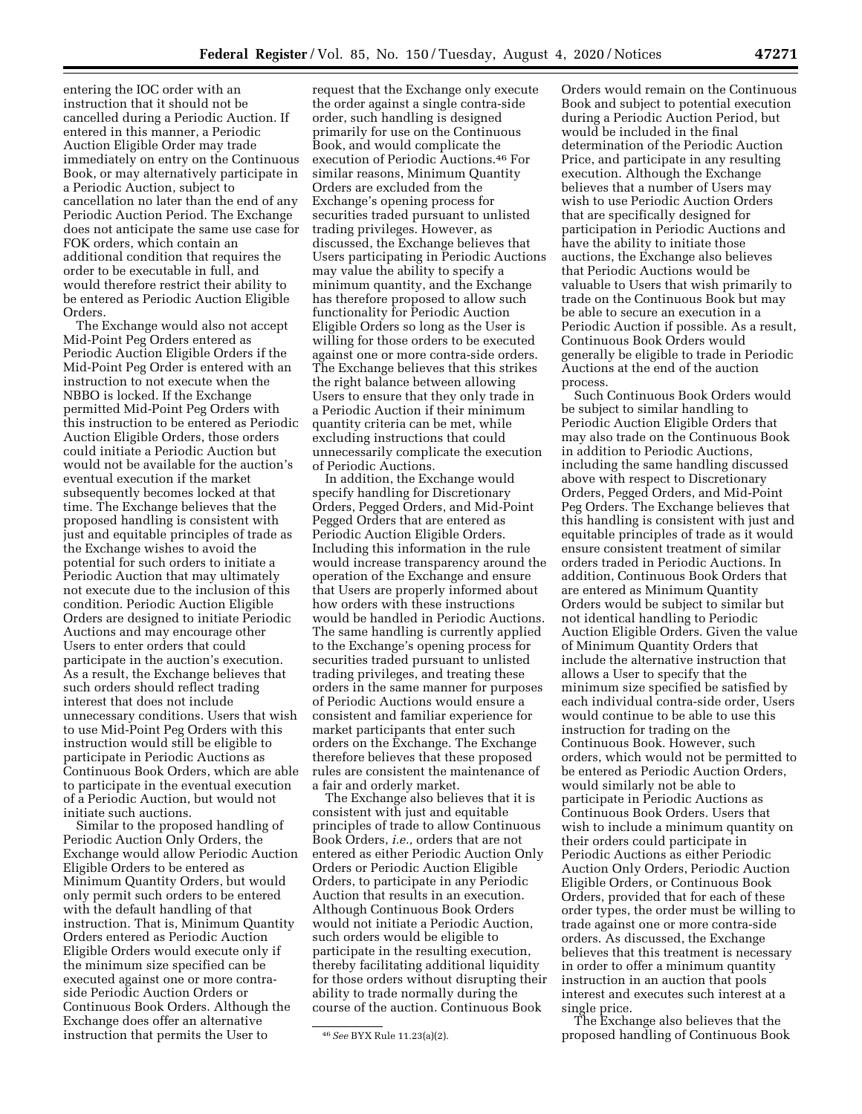entering the IOC order with an instruction that it should not be cancelled during a Periodic Auction. If entered in this manner, a Periodic Auction Eligible Order may trade immediately on entry on the Continuous Book, or may alternatively participate in a Periodic Auction, subject to cancellation no later than the end of any Periodic Auction Period. The Exchange does not anticipate the same use case for FOK orders, which contain an additional condition that requires the order to be executable in full, and would therefore restrict their ability to

be entered as Periodic Auction Eligible

Orders. The Exchange would also not accept Mid-Point Peg Orders entered as Periodic Auction Eligible Orders if the Mid-Point Peg Order is entered with an instruction to not execute when the NBBO is locked. If the Exchange permitted Mid-Point Peg Orders with this instruction to be entered as Periodic Auction Eligible Orders, those orders could initiate a Periodic Auction but would not be available for the auction's eventual execution if the market subsequently becomes locked at that time. The Exchange believes that the proposed handling is consistent with just and equitable principles of trade as the Exchange wishes to avoid the potential for such orders to initiate a Periodic Auction that may ultimately not execute due to the inclusion of this condition. Periodic Auction Eligible Orders are designed to initiate Periodic Auctions and may encourage other Users to enter orders that could participate in the auction's execution. As a result, the Exchange believes that such orders should reflect trading interest that does not include unnecessary conditions. Users that wish to use Mid-Point Peg Orders with this instruction would still be eligible to participate in Periodic Auctions as Continuous Book Orders, which are able to participate in the eventual execution of a Periodic Auction, but would not initiate such auctions.

Similar to the proposed handling of Periodic Auction Only Orders, the Exchange would allow Periodic Auction Eligible Orders to be entered as Minimum Quantity Orders, but would only permit such orders to be entered with the default handling of that instruction. That is, Minimum Quantity Orders entered as Periodic Auction Eligible Orders would execute only if the minimum size specified can be executed against one or more contraside Periodic Auction Orders or Continuous Book Orders. Although the Exchange does offer an alternative instruction that permits the User to

request that the Exchange only execute the order against a single contra-side order, such handling is designed primarily for use on the Continuous Book, and would complicate the execution of Periodic Auctions.46 For similar reasons, Minimum Quantity Orders are excluded from the Exchange's opening process for securities traded pursuant to unlisted trading privileges. However, as discussed, the Exchange believes that Users participating in Periodic Auctions may value the ability to specify a minimum quantity, and the Exchange has therefore proposed to allow such functionality for Periodic Auction Eligible Orders so long as the User is willing for those orders to be executed against one or more contra-side orders. The Exchange believes that this strikes the right balance between allowing Users to ensure that they only trade in a Periodic Auction if their minimum quantity criteria can be met, while excluding instructions that could unnecessarily complicate the execution of Periodic Auctions.

In addition, the Exchange would specify handling for Discretionary Orders, Pegged Orders, and Mid-Point Pegged Orders that are entered as Periodic Auction Eligible Orders. Including this information in the rule would increase transparency around the operation of the Exchange and ensure that Users are properly informed about how orders with these instructions would be handled in Periodic Auctions. The same handling is currently applied to the Exchange's opening process for securities traded pursuant to unlisted trading privileges, and treating these orders in the same manner for purposes of Periodic Auctions would ensure a consistent and familiar experience for market participants that enter such orders on the Exchange. The Exchange therefore believes that these proposed rules are consistent the maintenance of a fair and orderly market.

The Exchange also believes that it is consistent with just and equitable principles of trade to allow Continuous Book Orders, *i.e.,* orders that are not entered as either Periodic Auction Only Orders or Periodic Auction Eligible Orders, to participate in any Periodic Auction that results in an execution. Although Continuous Book Orders would not initiate a Periodic Auction, such orders would be eligible to participate in the resulting execution, thereby facilitating additional liquidity for those orders without disrupting their ability to trade normally during the course of the auction. Continuous Book

Orders would remain on the Continuous Book and subject to potential execution during a Periodic Auction Period, but would be included in the final determination of the Periodic Auction Price, and participate in any resulting execution. Although the Exchange believes that a number of Users may wish to use Periodic Auction Orders that are specifically designed for participation in Periodic Auctions and have the ability to initiate those auctions, the Exchange also believes that Periodic Auctions would be valuable to Users that wish primarily to trade on the Continuous Book but may be able to secure an execution in a Periodic Auction if possible. As a result, Continuous Book Orders would generally be eligible to trade in Periodic Auctions at the end of the auction process.

Such Continuous Book Orders would be subject to similar handling to Periodic Auction Eligible Orders that may also trade on the Continuous Book in addition to Periodic Auctions, including the same handling discussed above with respect to Discretionary Orders, Pegged Orders, and Mid-Point Peg Orders. The Exchange believes that this handling is consistent with just and equitable principles of trade as it would ensure consistent treatment of similar orders traded in Periodic Auctions. In addition, Continuous Book Orders that are entered as Minimum Quantity Orders would be subject to similar but not identical handling to Periodic Auction Eligible Orders. Given the value of Minimum Quantity Orders that include the alternative instruction that allows a User to specify that the minimum size specified be satisfied by each individual contra-side order, Users would continue to be able to use this instruction for trading on the Continuous Book. However, such orders, which would not be permitted to be entered as Periodic Auction Orders, would similarly not be able to participate in Periodic Auctions as Continuous Book Orders. Users that wish to include a minimum quantity on their orders could participate in Periodic Auctions as either Periodic Auction Only Orders, Periodic Auction Eligible Orders, or Continuous Book Orders, provided that for each of these order types, the order must be willing to trade against one or more contra-side orders. As discussed, the Exchange believes that this treatment is necessary in order to offer a minimum quantity instruction in an auction that pools interest and executes such interest at a single price.

The Exchange also believes that the proposed handling of Continuous Book

<sup>46</sup>*See* BYX Rule 11.23(a)(2).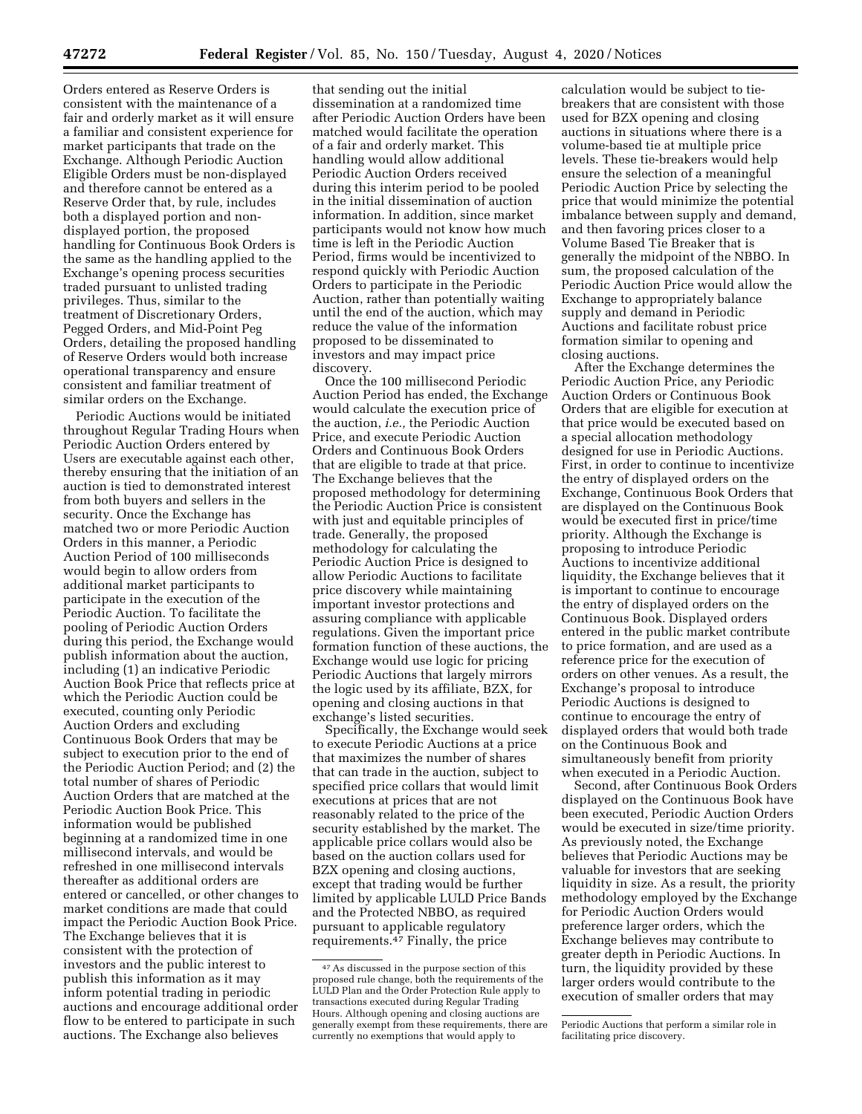Orders entered as Reserve Orders is consistent with the maintenance of a fair and orderly market as it will ensure a familiar and consistent experience for market participants that trade on the Exchange. Although Periodic Auction Eligible Orders must be non-displayed and therefore cannot be entered as a Reserve Order that, by rule, includes both a displayed portion and nondisplayed portion, the proposed handling for Continuous Book Orders is the same as the handling applied to the Exchange's opening process securities traded pursuant to unlisted trading privileges. Thus, similar to the treatment of Discretionary Orders, Pegged Orders, and Mid-Point Peg Orders, detailing the proposed handling of Reserve Orders would both increase operational transparency and ensure consistent and familiar treatment of similar orders on the Exchange.

Periodic Auctions would be initiated throughout Regular Trading Hours when Periodic Auction Orders entered by Users are executable against each other, thereby ensuring that the initiation of an auction is tied to demonstrated interest from both buyers and sellers in the security. Once the Exchange has matched two or more Periodic Auction Orders in this manner, a Periodic Auction Period of 100 milliseconds would begin to allow orders from additional market participants to participate in the execution of the Periodic Auction. To facilitate the pooling of Periodic Auction Orders during this period, the Exchange would publish information about the auction, including (1) an indicative Periodic Auction Book Price that reflects price at which the Periodic Auction could be executed, counting only Periodic Auction Orders and excluding Continuous Book Orders that may be subject to execution prior to the end of the Periodic Auction Period; and (2) the total number of shares of Periodic Auction Orders that are matched at the Periodic Auction Book Price. This information would be published beginning at a randomized time in one millisecond intervals, and would be refreshed in one millisecond intervals thereafter as additional orders are entered or cancelled, or other changes to market conditions are made that could impact the Periodic Auction Book Price. The Exchange believes that it is consistent with the protection of investors and the public interest to publish this information as it may inform potential trading in periodic auctions and encourage additional order flow to be entered to participate in such auctions. The Exchange also believes

that sending out the initial dissemination at a randomized time after Periodic Auction Orders have been matched would facilitate the operation of a fair and orderly market. This handling would allow additional Periodic Auction Orders received during this interim period to be pooled in the initial dissemination of auction information. In addition, since market participants would not know how much time is left in the Periodic Auction Period, firms would be incentivized to respond quickly with Periodic Auction Orders to participate in the Periodic Auction, rather than potentially waiting until the end of the auction, which may reduce the value of the information proposed to be disseminated to investors and may impact price discovery.

Once the 100 millisecond Periodic Auction Period has ended, the Exchange would calculate the execution price of the auction, *i.e.,* the Periodic Auction Price, and execute Periodic Auction Orders and Continuous Book Orders that are eligible to trade at that price. The Exchange believes that the proposed methodology for determining the Periodic Auction Price is consistent with just and equitable principles of trade. Generally, the proposed methodology for calculating the Periodic Auction Price is designed to allow Periodic Auctions to facilitate price discovery while maintaining important investor protections and assuring compliance with applicable regulations. Given the important price formation function of these auctions, the Exchange would use logic for pricing Periodic Auctions that largely mirrors the logic used by its affiliate, BZX, for opening and closing auctions in that exchange's listed securities.

Specifically, the Exchange would seek to execute Periodic Auctions at a price that maximizes the number of shares that can trade in the auction, subject to specified price collars that would limit executions at prices that are not reasonably related to the price of the security established by the market. The applicable price collars would also be based on the auction collars used for BZX opening and closing auctions, except that trading would be further limited by applicable LULD Price Bands and the Protected NBBO, as required pursuant to applicable regulatory requirements.47 Finally, the price

calculation would be subject to tiebreakers that are consistent with those used for BZX opening and closing auctions in situations where there is a volume-based tie at multiple price levels. These tie-breakers would help ensure the selection of a meaningful Periodic Auction Price by selecting the price that would minimize the potential imbalance between supply and demand, and then favoring prices closer to a Volume Based Tie Breaker that is generally the midpoint of the NBBO. In sum, the proposed calculation of the Periodic Auction Price would allow the Exchange to appropriately balance supply and demand in Periodic Auctions and facilitate robust price formation similar to opening and closing auctions.

After the Exchange determines the Periodic Auction Price, any Periodic Auction Orders or Continuous Book Orders that are eligible for execution at that price would be executed based on a special allocation methodology designed for use in Periodic Auctions. First, in order to continue to incentivize the entry of displayed orders on the Exchange, Continuous Book Orders that are displayed on the Continuous Book would be executed first in price/time priority. Although the Exchange is proposing to introduce Periodic Auctions to incentivize additional liquidity, the Exchange believes that it is important to continue to encourage the entry of displayed orders on the Continuous Book. Displayed orders entered in the public market contribute to price formation, and are used as a reference price for the execution of orders on other venues. As a result, the Exchange's proposal to introduce Periodic Auctions is designed to continue to encourage the entry of displayed orders that would both trade on the Continuous Book and simultaneously benefit from priority when executed in a Periodic Auction.

Second, after Continuous Book Orders displayed on the Continuous Book have been executed, Periodic Auction Orders would be executed in size/time priority. As previously noted, the Exchange believes that Periodic Auctions may be valuable for investors that are seeking liquidity in size. As a result, the priority methodology employed by the Exchange for Periodic Auction Orders would preference larger orders, which the Exchange believes may contribute to greater depth in Periodic Auctions. In turn, the liquidity provided by these larger orders would contribute to the execution of smaller orders that may

<sup>47</sup>As discussed in the purpose section of this proposed rule change, both the requirements of the LULD Plan and the Order Protection Rule apply to transactions executed during Regular Trading Hours. Although opening and closing auctions are generally exempt from these requirements, there are currently no exemptions that would apply to

Periodic Auctions that perform a similar role in facilitating price discovery.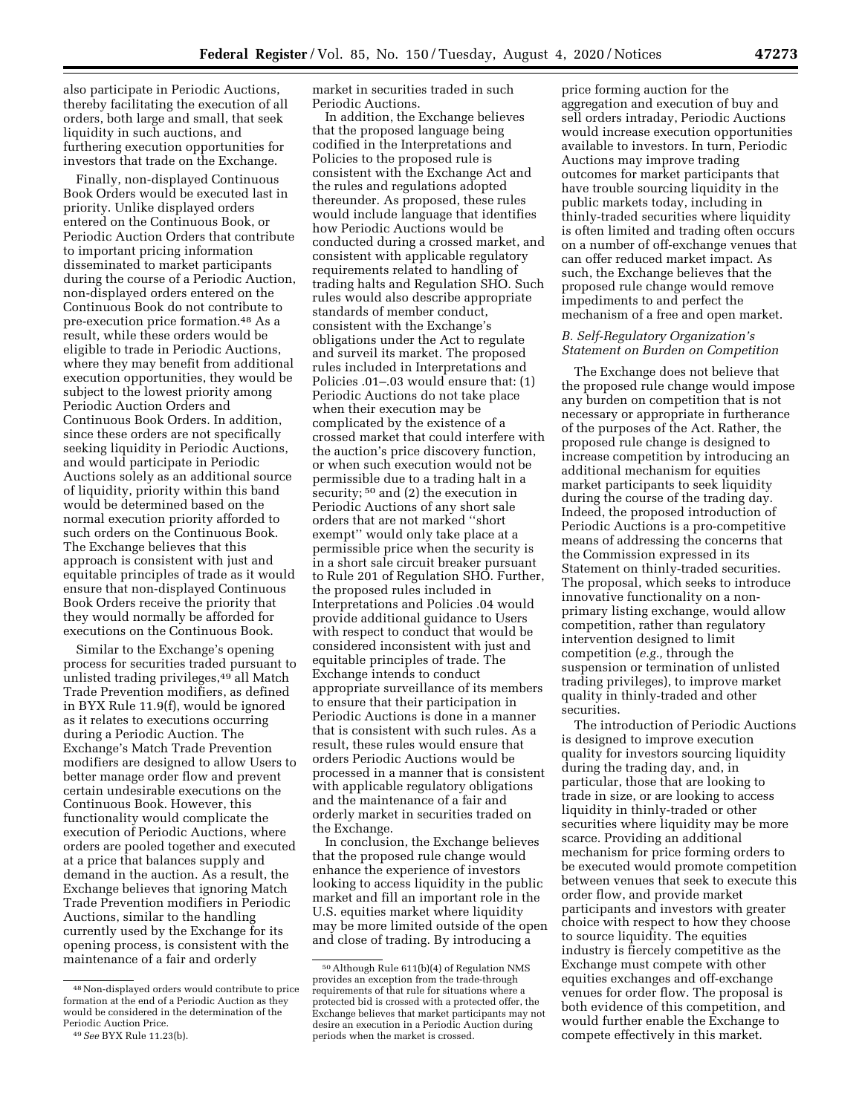also participate in Periodic Auctions, thereby facilitating the execution of all orders, both large and small, that seek liquidity in such auctions, and furthering execution opportunities for investors that trade on the Exchange.

Finally, non-displayed Continuous Book Orders would be executed last in priority. Unlike displayed orders entered on the Continuous Book, or Periodic Auction Orders that contribute to important pricing information disseminated to market participants during the course of a Periodic Auction, non-displayed orders entered on the Continuous Book do not contribute to pre-execution price formation.48 As a result, while these orders would be eligible to trade in Periodic Auctions, where they may benefit from additional execution opportunities, they would be subject to the lowest priority among Periodic Auction Orders and Continuous Book Orders. In addition, since these orders are not specifically seeking liquidity in Periodic Auctions, and would participate in Periodic Auctions solely as an additional source of liquidity, priority within this band would be determined based on the normal execution priority afforded to such orders on the Continuous Book. The Exchange believes that this approach is consistent with just and equitable principles of trade as it would ensure that non-displayed Continuous Book Orders receive the priority that they would normally be afforded for executions on the Continuous Book.

Similar to the Exchange's opening process for securities traded pursuant to unlisted trading privileges,<sup>49</sup> all Match Trade Prevention modifiers, as defined in BYX Rule 11.9(f), would be ignored as it relates to executions occurring during a Periodic Auction. The Exchange's Match Trade Prevention modifiers are designed to allow Users to better manage order flow and prevent certain undesirable executions on the Continuous Book. However, this functionality would complicate the execution of Periodic Auctions, where orders are pooled together and executed at a price that balances supply and demand in the auction. As a result, the Exchange believes that ignoring Match Trade Prevention modifiers in Periodic Auctions, similar to the handling currently used by the Exchange for its opening process, is consistent with the maintenance of a fair and orderly

market in securities traded in such Periodic Auctions.

In addition, the Exchange believes that the proposed language being codified in the Interpretations and Policies to the proposed rule is consistent with the Exchange Act and the rules and regulations adopted thereunder. As proposed, these rules would include language that identifies how Periodic Auctions would be conducted during a crossed market, and consistent with applicable regulatory requirements related to handling of trading halts and Regulation SHO. Such rules would also describe appropriate standards of member conduct, consistent with the Exchange's obligations under the Act to regulate and surveil its market. The proposed rules included in Interpretations and Policies .01–.03 would ensure that: (1) Periodic Auctions do not take place when their execution may be complicated by the existence of a crossed market that could interfere with the auction's price discovery function, or when such execution would not be permissible due to a trading halt in a security; <sup>50</sup> and (2) the execution in Periodic Auctions of any short sale orders that are not marked ''short exempt'' would only take place at a permissible price when the security is in a short sale circuit breaker pursuant to Rule 201 of Regulation SHO. Further, the proposed rules included in Interpretations and Policies .04 would provide additional guidance to Users with respect to conduct that would be considered inconsistent with just and equitable principles of trade. The Exchange intends to conduct appropriate surveillance of its members to ensure that their participation in Periodic Auctions is done in a manner that is consistent with such rules. As a result, these rules would ensure that orders Periodic Auctions would be processed in a manner that is consistent with applicable regulatory obligations and the maintenance of a fair and orderly market in securities traded on the Exchange.

In conclusion, the Exchange believes that the proposed rule change would enhance the experience of investors looking to access liquidity in the public market and fill an important role in the U.S. equities market where liquidity may be more limited outside of the open and close of trading. By introducing a

price forming auction for the aggregation and execution of buy and sell orders intraday, Periodic Auctions would increase execution opportunities available to investors. In turn, Periodic Auctions may improve trading outcomes for market participants that have trouble sourcing liquidity in the public markets today, including in thinly-traded securities where liquidity is often limited and trading often occurs on a number of off-exchange venues that can offer reduced market impact. As such, the Exchange believes that the proposed rule change would remove impediments to and perfect the mechanism of a free and open market.

#### *B. Self-Regulatory Organization's Statement on Burden on Competition*

The Exchange does not believe that the proposed rule change would impose any burden on competition that is not necessary or appropriate in furtherance of the purposes of the Act. Rather, the proposed rule change is designed to increase competition by introducing an additional mechanism for equities market participants to seek liquidity during the course of the trading day. Indeed, the proposed introduction of Periodic Auctions is a pro-competitive means of addressing the concerns that the Commission expressed in its Statement on thinly-traded securities. The proposal, which seeks to introduce innovative functionality on a nonprimary listing exchange, would allow competition, rather than regulatory intervention designed to limit competition (*e.g.,* through the suspension or termination of unlisted trading privileges), to improve market quality in thinly-traded and other securities.

The introduction of Periodic Auctions is designed to improve execution quality for investors sourcing liquidity during the trading day, and, in particular, those that are looking to trade in size, or are looking to access liquidity in thinly-traded or other securities where liquidity may be more scarce. Providing an additional mechanism for price forming orders to be executed would promote competition between venues that seek to execute this order flow, and provide market participants and investors with greater choice with respect to how they choose to source liquidity. The equities industry is fiercely competitive as the Exchange must compete with other equities exchanges and off-exchange venues for order flow. The proposal is both evidence of this competition, and would further enable the Exchange to compete effectively in this market.

<sup>48</sup>Non-displayed orders would contribute to price formation at the end of a Periodic Auction as they would be considered in the determination of the Periodic Auction Price.

<sup>49</sup>*See* BYX Rule 11.23(b).

<sup>50</sup>Although Rule 611(b)(4) of Regulation NMS provides an exception from the trade-through requirements of that rule for situations where a protected bid is crossed with a protected offer, the Exchange believes that market participants may not desire an execution in a Periodic Auction during periods when the market is crossed.